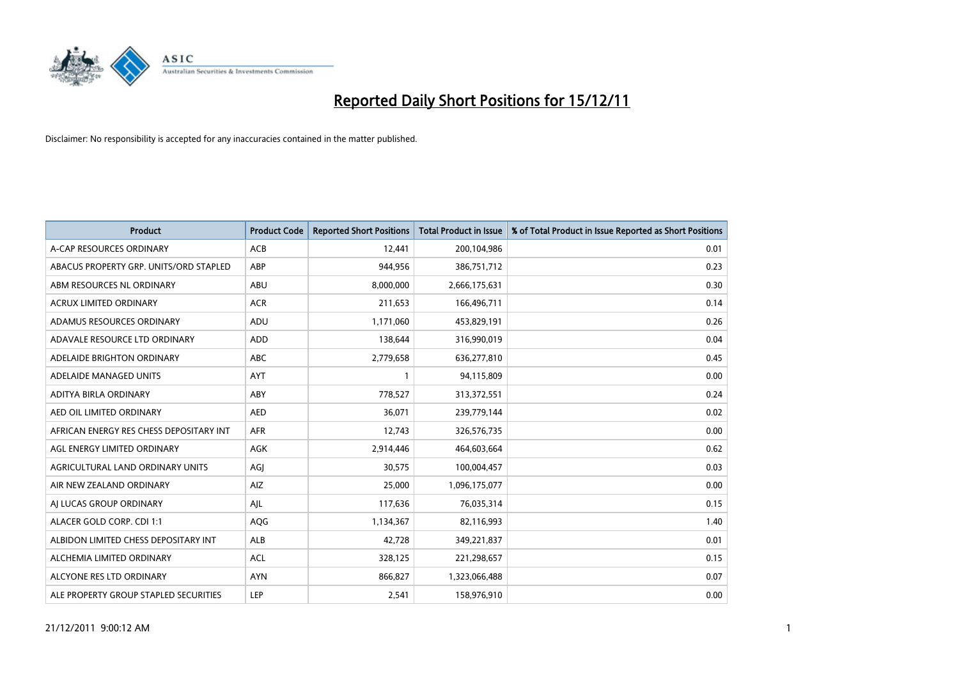

| <b>Product</b>                          | <b>Product Code</b> | <b>Reported Short Positions</b> | <b>Total Product in Issue</b> | % of Total Product in Issue Reported as Short Positions |
|-----------------------------------------|---------------------|---------------------------------|-------------------------------|---------------------------------------------------------|
| A-CAP RESOURCES ORDINARY                | <b>ACB</b>          | 12,441                          | 200,104,986                   | 0.01                                                    |
| ABACUS PROPERTY GRP. UNITS/ORD STAPLED  | ABP                 | 944,956                         | 386,751,712                   | 0.23                                                    |
| ABM RESOURCES NL ORDINARY               | <b>ABU</b>          | 8,000,000                       | 2,666,175,631                 | 0.30                                                    |
| ACRUX LIMITED ORDINARY                  | <b>ACR</b>          | 211,653                         | 166,496,711                   | 0.14                                                    |
| ADAMUS RESOURCES ORDINARY               | ADU                 | 1,171,060                       | 453,829,191                   | 0.26                                                    |
| ADAVALE RESOURCE LTD ORDINARY           | <b>ADD</b>          | 138,644                         | 316,990,019                   | 0.04                                                    |
| ADELAIDE BRIGHTON ORDINARY              | <b>ABC</b>          | 2,779,658                       | 636,277,810                   | 0.45                                                    |
| ADELAIDE MANAGED UNITS                  | <b>AYT</b>          |                                 | 94,115,809                    | 0.00                                                    |
| ADITYA BIRLA ORDINARY                   | ABY                 | 778,527                         | 313,372,551                   | 0.24                                                    |
| AED OIL LIMITED ORDINARY                | <b>AED</b>          | 36,071                          | 239,779,144                   | 0.02                                                    |
| AFRICAN ENERGY RES CHESS DEPOSITARY INT | <b>AFR</b>          | 12,743                          | 326,576,735                   | 0.00                                                    |
| AGL ENERGY LIMITED ORDINARY             | <b>AGK</b>          | 2,914,446                       | 464,603,664                   | 0.62                                                    |
| AGRICULTURAL LAND ORDINARY UNITS        | AGI                 | 30,575                          | 100,004,457                   | 0.03                                                    |
| AIR NEW ZEALAND ORDINARY                | AIZ                 | 25,000                          | 1,096,175,077                 | 0.00                                                    |
| AI LUCAS GROUP ORDINARY                 | AJL                 | 117,636                         | 76,035,314                    | 0.15                                                    |
| ALACER GOLD CORP. CDI 1:1               | <b>AQG</b>          | 1,134,367                       | 82,116,993                    | 1.40                                                    |
| ALBIDON LIMITED CHESS DEPOSITARY INT    | <b>ALB</b>          | 42,728                          | 349,221,837                   | 0.01                                                    |
| ALCHEMIA LIMITED ORDINARY               | <b>ACL</b>          | 328,125                         | 221,298,657                   | 0.15                                                    |
| ALCYONE RES LTD ORDINARY                | <b>AYN</b>          | 866,827                         | 1,323,066,488                 | 0.07                                                    |
| ALE PROPERTY GROUP STAPLED SECURITIES   | LEP                 | 2,541                           | 158,976,910                   | 0.00                                                    |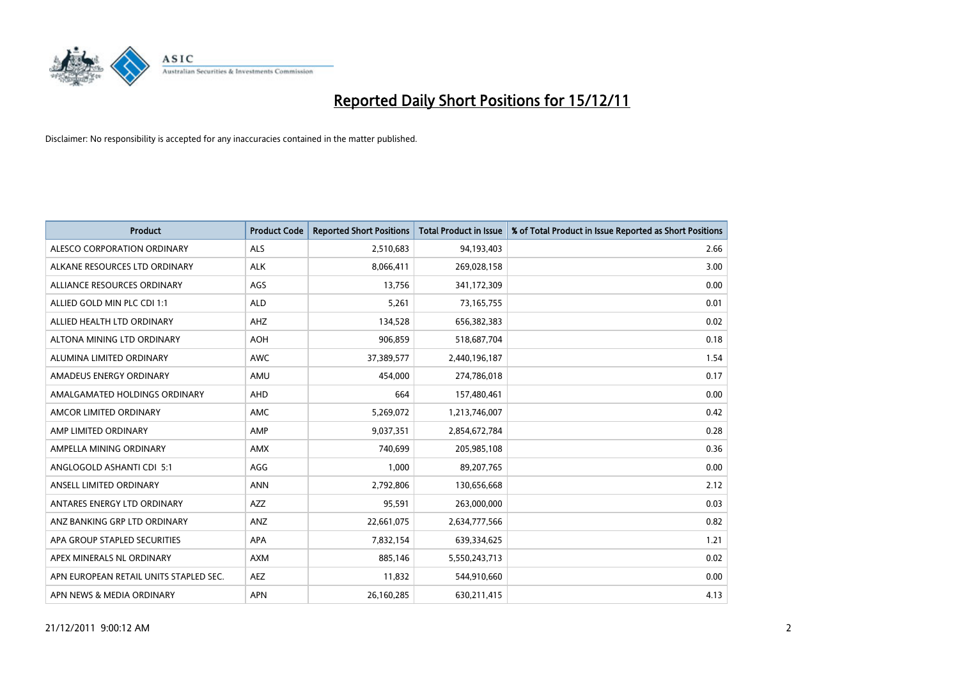

| <b>Product</b>                         | <b>Product Code</b> | <b>Reported Short Positions</b> | <b>Total Product in Issue</b> | % of Total Product in Issue Reported as Short Positions |
|----------------------------------------|---------------------|---------------------------------|-------------------------------|---------------------------------------------------------|
| ALESCO CORPORATION ORDINARY            | <b>ALS</b>          | 2,510,683                       | 94,193,403                    | 2.66                                                    |
| ALKANE RESOURCES LTD ORDINARY          | <b>ALK</b>          | 8,066,411                       | 269,028,158                   | 3.00                                                    |
| ALLIANCE RESOURCES ORDINARY            | AGS                 | 13,756                          | 341,172,309                   | 0.00                                                    |
| ALLIED GOLD MIN PLC CDI 1:1            | <b>ALD</b>          | 5,261                           | 73,165,755                    | 0.01                                                    |
| ALLIED HEALTH LTD ORDINARY             | AHZ                 | 134,528                         | 656,382,383                   | 0.02                                                    |
| ALTONA MINING LTD ORDINARY             | <b>AOH</b>          | 906,859                         | 518,687,704                   | 0.18                                                    |
| ALUMINA LIMITED ORDINARY               | <b>AWC</b>          | 37,389,577                      | 2,440,196,187                 | 1.54                                                    |
| AMADEUS ENERGY ORDINARY                | AMU                 | 454,000                         | 274,786,018                   | 0.17                                                    |
| AMALGAMATED HOLDINGS ORDINARY          | <b>AHD</b>          | 664                             | 157,480,461                   | 0.00                                                    |
| AMCOR LIMITED ORDINARY                 | <b>AMC</b>          | 5,269,072                       | 1,213,746,007                 | 0.42                                                    |
| AMP LIMITED ORDINARY                   | AMP                 | 9,037,351                       | 2,854,672,784                 | 0.28                                                    |
| AMPELLA MINING ORDINARY                | <b>AMX</b>          | 740.699                         | 205,985,108                   | 0.36                                                    |
| ANGLOGOLD ASHANTI CDI 5:1              | AGG                 | 1,000                           | 89,207,765                    | 0.00                                                    |
| ANSELL LIMITED ORDINARY                | <b>ANN</b>          | 2,792,806                       | 130,656,668                   | 2.12                                                    |
| ANTARES ENERGY LTD ORDINARY            | AZZ                 | 95,591                          | 263,000,000                   | 0.03                                                    |
| ANZ BANKING GRP LTD ORDINARY           | ANZ                 | 22,661,075                      | 2,634,777,566                 | 0.82                                                    |
| APA GROUP STAPLED SECURITIES           | <b>APA</b>          | 7,832,154                       | 639,334,625                   | 1.21                                                    |
| APEX MINERALS NL ORDINARY              | <b>AXM</b>          | 885,146                         | 5,550,243,713                 | 0.02                                                    |
| APN EUROPEAN RETAIL UNITS STAPLED SEC. | <b>AEZ</b>          | 11,832                          | 544,910,660                   | 0.00                                                    |
| APN NEWS & MEDIA ORDINARY              | <b>APN</b>          | 26,160,285                      | 630,211,415                   | 4.13                                                    |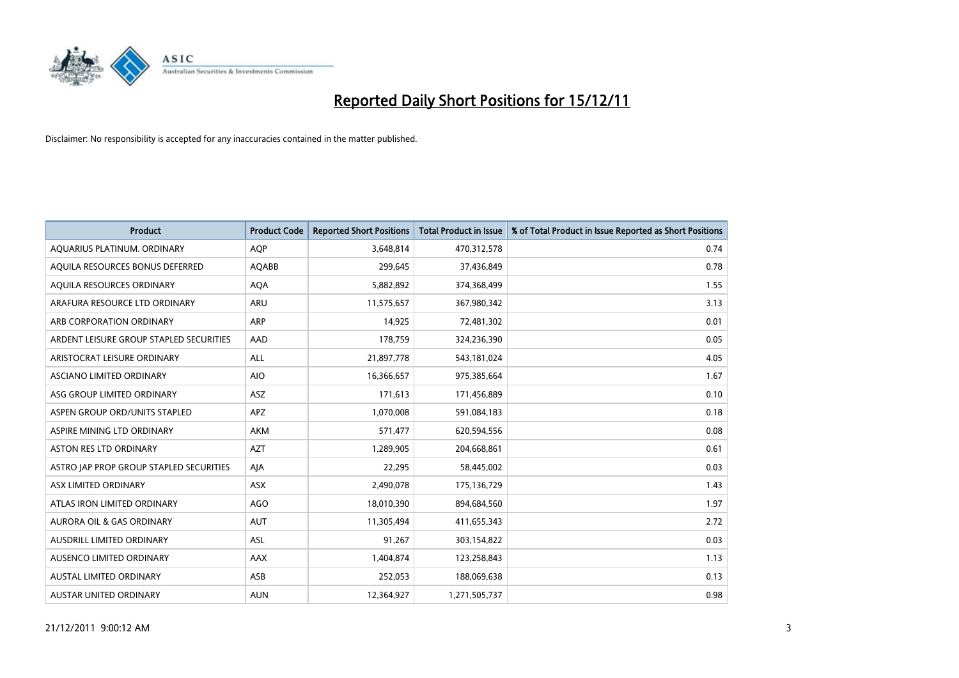

| <b>Product</b>                          | <b>Product Code</b> | <b>Reported Short Positions</b> | <b>Total Product in Issue</b> | % of Total Product in Issue Reported as Short Positions |
|-----------------------------------------|---------------------|---------------------------------|-------------------------------|---------------------------------------------------------|
| AQUARIUS PLATINUM. ORDINARY             | AQP                 | 3,648,814                       | 470,312,578                   | 0.74                                                    |
| AQUILA RESOURCES BONUS DEFERRED         | <b>AQABB</b>        | 299.645                         | 37,436,849                    | 0.78                                                    |
| AQUILA RESOURCES ORDINARY               | <b>AQA</b>          | 5,882,892                       | 374,368,499                   | 1.55                                                    |
| ARAFURA RESOURCE LTD ORDINARY           | ARU                 | 11,575,657                      | 367,980,342                   | 3.13                                                    |
| ARB CORPORATION ORDINARY                | ARP                 | 14,925                          | 72,481,302                    | 0.01                                                    |
| ARDENT LEISURE GROUP STAPLED SECURITIES | AAD                 | 178,759                         | 324,236,390                   | 0.05                                                    |
| ARISTOCRAT LEISURE ORDINARY             | <b>ALL</b>          | 21,897,778                      | 543,181,024                   | 4.05                                                    |
| <b>ASCIANO LIMITED ORDINARY</b>         | <b>AIO</b>          | 16,366,657                      | 975,385,664                   | 1.67                                                    |
| ASG GROUP LIMITED ORDINARY              | <b>ASZ</b>          | 171,613                         | 171,456,889                   | 0.10                                                    |
| ASPEN GROUP ORD/UNITS STAPLED           | <b>APZ</b>          | 1,070,008                       | 591,084,183                   | 0.18                                                    |
| ASPIRE MINING LTD ORDINARY              | <b>AKM</b>          | 571,477                         | 620,594,556                   | 0.08                                                    |
| <b>ASTON RES LTD ORDINARY</b>           | <b>AZT</b>          | 1,289,905                       | 204,668,861                   | 0.61                                                    |
| ASTRO JAP PROP GROUP STAPLED SECURITIES | AIA                 | 22,295                          | 58,445,002                    | 0.03                                                    |
| ASX LIMITED ORDINARY                    | <b>ASX</b>          | 2,490,078                       | 175,136,729                   | 1.43                                                    |
| ATLAS IRON LIMITED ORDINARY             | AGO                 | 18,010,390                      | 894,684,560                   | 1.97                                                    |
| <b>AURORA OIL &amp; GAS ORDINARY</b>    | <b>AUT</b>          | 11,305,494                      | 411,655,343                   | 2.72                                                    |
| <b>AUSDRILL LIMITED ORDINARY</b>        | <b>ASL</b>          | 91,267                          | 303,154,822                   | 0.03                                                    |
| AUSENCO LIMITED ORDINARY                | <b>AAX</b>          | 1,404,874                       | 123,258,843                   | 1.13                                                    |
| <b>AUSTAL LIMITED ORDINARY</b>          | ASB                 | 252,053                         | 188,069,638                   | 0.13                                                    |
| <b>AUSTAR UNITED ORDINARY</b>           | <b>AUN</b>          | 12,364,927                      | 1,271,505,737                 | 0.98                                                    |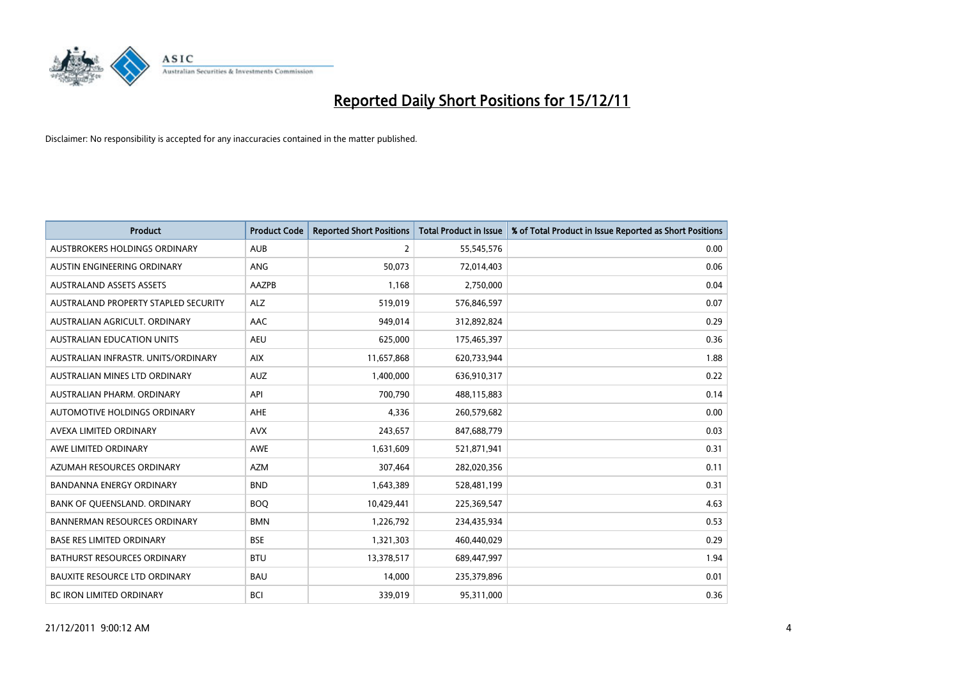

| <b>Product</b>                       | <b>Product Code</b> | <b>Reported Short Positions</b> | <b>Total Product in Issue</b> | % of Total Product in Issue Reported as Short Positions |
|--------------------------------------|---------------------|---------------------------------|-------------------------------|---------------------------------------------------------|
| AUSTBROKERS HOLDINGS ORDINARY        | <b>AUB</b>          | $\overline{2}$                  | 55,545,576                    | 0.00                                                    |
| AUSTIN ENGINEERING ORDINARY          | ANG                 | 50,073                          | 72,014,403                    | 0.06                                                    |
| <b>AUSTRALAND ASSETS ASSETS</b>      | <b>AAZPB</b>        | 1,168                           | 2,750,000                     | 0.04                                                    |
| AUSTRALAND PROPERTY STAPLED SECURITY | <b>ALZ</b>          | 519,019                         | 576,846,597                   | 0.07                                                    |
| AUSTRALIAN AGRICULT, ORDINARY        | AAC                 | 949,014                         | 312,892,824                   | 0.29                                                    |
| AUSTRALIAN EDUCATION UNITS           | <b>AEU</b>          | 625,000                         | 175,465,397                   | 0.36                                                    |
| AUSTRALIAN INFRASTR, UNITS/ORDINARY  | <b>AIX</b>          | 11,657,868                      | 620,733,944                   | 1.88                                                    |
| AUSTRALIAN MINES LTD ORDINARY        | <b>AUZ</b>          | 1,400,000                       | 636,910,317                   | 0.22                                                    |
| AUSTRALIAN PHARM, ORDINARY           | API                 | 700,790                         | 488,115,883                   | 0.14                                                    |
| AUTOMOTIVE HOLDINGS ORDINARY         | AHE                 | 4,336                           | 260,579,682                   | 0.00                                                    |
| AVEXA LIMITED ORDINARY               | <b>AVX</b>          | 243,657                         | 847,688,779                   | 0.03                                                    |
| AWE LIMITED ORDINARY                 | AWE                 | 1,631,609                       | 521,871,941                   | 0.31                                                    |
| AZUMAH RESOURCES ORDINARY            | <b>AZM</b>          | 307,464                         | 282,020,356                   | 0.11                                                    |
| <b>BANDANNA ENERGY ORDINARY</b>      | <b>BND</b>          | 1,643,389                       | 528,481,199                   | 0.31                                                    |
| BANK OF QUEENSLAND. ORDINARY         | <b>BOQ</b>          | 10,429,441                      | 225,369,547                   | 4.63                                                    |
| <b>BANNERMAN RESOURCES ORDINARY</b>  | <b>BMN</b>          | 1,226,792                       | 234,435,934                   | 0.53                                                    |
| <b>BASE RES LIMITED ORDINARY</b>     | <b>BSE</b>          | 1,321,303                       | 460,440,029                   | 0.29                                                    |
| <b>BATHURST RESOURCES ORDINARY</b>   | <b>BTU</b>          | 13,378,517                      | 689,447,997                   | 1.94                                                    |
| <b>BAUXITE RESOURCE LTD ORDINARY</b> | <b>BAU</b>          | 14.000                          | 235,379,896                   | 0.01                                                    |
| <b>BC IRON LIMITED ORDINARY</b>      | <b>BCI</b>          | 339,019                         | 95,311,000                    | 0.36                                                    |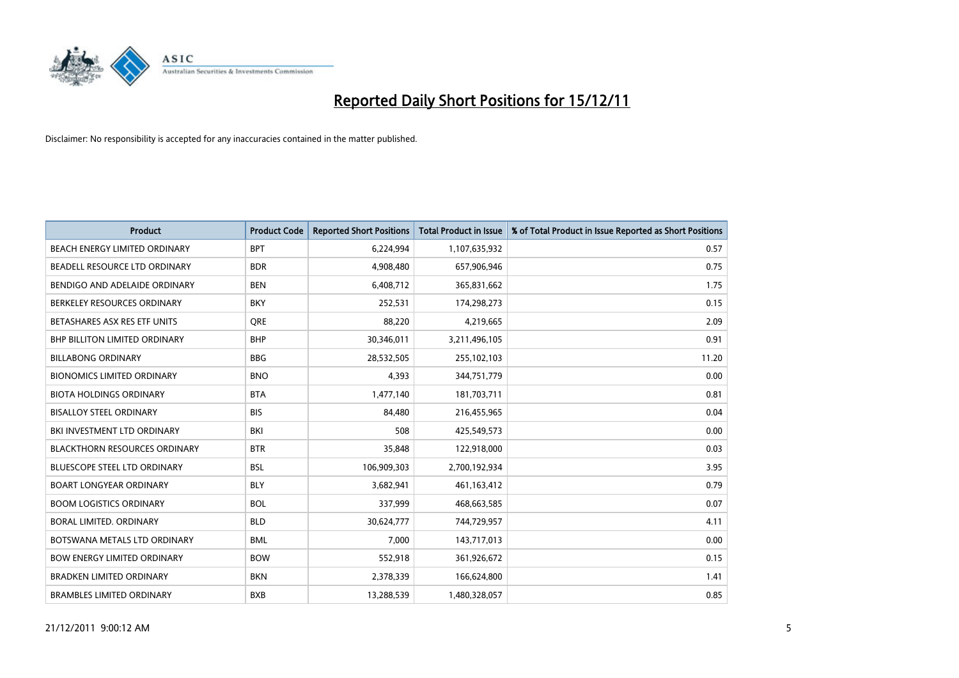

| <b>Product</b>                       | <b>Product Code</b> | <b>Reported Short Positions</b> | <b>Total Product in Issue</b> | % of Total Product in Issue Reported as Short Positions |
|--------------------------------------|---------------------|---------------------------------|-------------------------------|---------------------------------------------------------|
| BEACH ENERGY LIMITED ORDINARY        | <b>BPT</b>          | 6,224,994                       | 1,107,635,932                 | 0.57                                                    |
| BEADELL RESOURCE LTD ORDINARY        | <b>BDR</b>          | 4,908,480                       | 657,906,946                   | 0.75                                                    |
| BENDIGO AND ADELAIDE ORDINARY        | <b>BEN</b>          | 6,408,712                       | 365,831,662                   | 1.75                                                    |
| BERKELEY RESOURCES ORDINARY          | <b>BKY</b>          | 252,531                         | 174,298,273                   | 0.15                                                    |
| BETASHARES ASX RES ETF UNITS         | <b>ORE</b>          | 88,220                          | 4,219,665                     | 2.09                                                    |
| <b>BHP BILLITON LIMITED ORDINARY</b> | <b>BHP</b>          | 30,346,011                      | 3,211,496,105                 | 0.91                                                    |
| <b>BILLABONG ORDINARY</b>            | <b>BBG</b>          | 28,532,505                      | 255,102,103                   | 11.20                                                   |
| <b>BIONOMICS LIMITED ORDINARY</b>    | <b>BNO</b>          | 4,393                           | 344,751,779                   | 0.00                                                    |
| <b>BIOTA HOLDINGS ORDINARY</b>       | <b>BTA</b>          | 1,477,140                       | 181,703,711                   | 0.81                                                    |
| <b>BISALLOY STEEL ORDINARY</b>       | <b>BIS</b>          | 84.480                          | 216,455,965                   | 0.04                                                    |
| BKI INVESTMENT LTD ORDINARY          | BKI                 | 508                             | 425,549,573                   | 0.00                                                    |
| <b>BLACKTHORN RESOURCES ORDINARY</b> | <b>BTR</b>          | 35,848                          | 122,918,000                   | 0.03                                                    |
| <b>BLUESCOPE STEEL LTD ORDINARY</b>  | <b>BSL</b>          | 106,909,303                     | 2,700,192,934                 | 3.95                                                    |
| <b>BOART LONGYEAR ORDINARY</b>       | <b>BLY</b>          | 3,682,941                       | 461,163,412                   | 0.79                                                    |
| <b>BOOM LOGISTICS ORDINARY</b>       | <b>BOL</b>          | 337,999                         | 468,663,585                   | 0.07                                                    |
| BORAL LIMITED. ORDINARY              | <b>BLD</b>          | 30,624,777                      | 744,729,957                   | 4.11                                                    |
| BOTSWANA METALS LTD ORDINARY         | <b>BML</b>          | 7,000                           | 143,717,013                   | 0.00                                                    |
| <b>BOW ENERGY LIMITED ORDINARY</b>   | <b>BOW</b>          | 552,918                         | 361,926,672                   | 0.15                                                    |
| <b>BRADKEN LIMITED ORDINARY</b>      | <b>BKN</b>          | 2,378,339                       | 166,624,800                   | 1.41                                                    |
| <b>BRAMBLES LIMITED ORDINARY</b>     | <b>BXB</b>          | 13,288,539                      | 1,480,328,057                 | 0.85                                                    |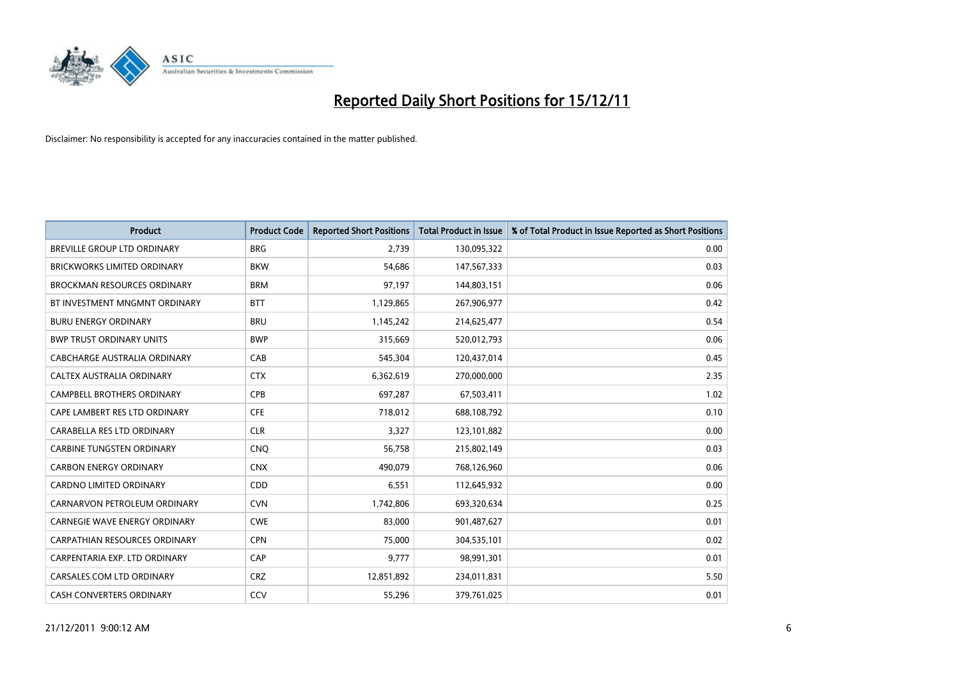

| <b>Product</b>                       | <b>Product Code</b> | <b>Reported Short Positions</b> | <b>Total Product in Issue</b> | % of Total Product in Issue Reported as Short Positions |
|--------------------------------------|---------------------|---------------------------------|-------------------------------|---------------------------------------------------------|
| <b>BREVILLE GROUP LTD ORDINARY</b>   | <b>BRG</b>          | 2,739                           | 130,095,322                   | 0.00                                                    |
| BRICKWORKS LIMITED ORDINARY          | <b>BKW</b>          | 54,686                          | 147,567,333                   | 0.03                                                    |
| <b>BROCKMAN RESOURCES ORDINARY</b>   | <b>BRM</b>          | 97,197                          | 144,803,151                   | 0.06                                                    |
| BT INVESTMENT MNGMNT ORDINARY        | <b>BTT</b>          | 1,129,865                       | 267,906,977                   | 0.42                                                    |
| <b>BURU ENERGY ORDINARY</b>          | <b>BRU</b>          | 1,145,242                       | 214,625,477                   | 0.54                                                    |
| <b>BWP TRUST ORDINARY UNITS</b>      | <b>BWP</b>          | 315,669                         | 520,012,793                   | 0.06                                                    |
| CABCHARGE AUSTRALIA ORDINARY         | CAB                 | 545,304                         | 120,437,014                   | 0.45                                                    |
| CALTEX AUSTRALIA ORDINARY            | <b>CTX</b>          | 6,362,619                       | 270,000,000                   | 2.35                                                    |
| CAMPBELL BROTHERS ORDINARY           | <b>CPB</b>          | 697,287                         | 67,503,411                    | 1.02                                                    |
| CAPE LAMBERT RES LTD ORDINARY        | <b>CFE</b>          | 718,012                         | 688,108,792                   | 0.10                                                    |
| CARABELLA RES LTD ORDINARY           | <b>CLR</b>          | 3,327                           | 123,101,882                   | 0.00                                                    |
| <b>CARBINE TUNGSTEN ORDINARY</b>     | <b>CNO</b>          | 56,758                          | 215,802,149                   | 0.03                                                    |
| <b>CARBON ENERGY ORDINARY</b>        | <b>CNX</b>          | 490,079                         | 768,126,960                   | 0.06                                                    |
| <b>CARDNO LIMITED ORDINARY</b>       | CDD                 | 6,551                           | 112,645,932                   | 0.00                                                    |
| CARNARVON PETROLEUM ORDINARY         | <b>CVN</b>          | 1,742,806                       | 693,320,634                   | 0.25                                                    |
| CARNEGIE WAVE ENERGY ORDINARY        | <b>CWE</b>          | 83,000                          | 901,487,627                   | 0.01                                                    |
| <b>CARPATHIAN RESOURCES ORDINARY</b> | <b>CPN</b>          | 75,000                          | 304,535,101                   | 0.02                                                    |
| CARPENTARIA EXP. LTD ORDINARY        | CAP                 | 9,777                           | 98,991,301                    | 0.01                                                    |
| CARSALES.COM LTD ORDINARY            | <b>CRZ</b>          | 12,851,892                      | 234,011,831                   | 5.50                                                    |
| <b>CASH CONVERTERS ORDINARY</b>      | CCV                 | 55.296                          | 379,761,025                   | 0.01                                                    |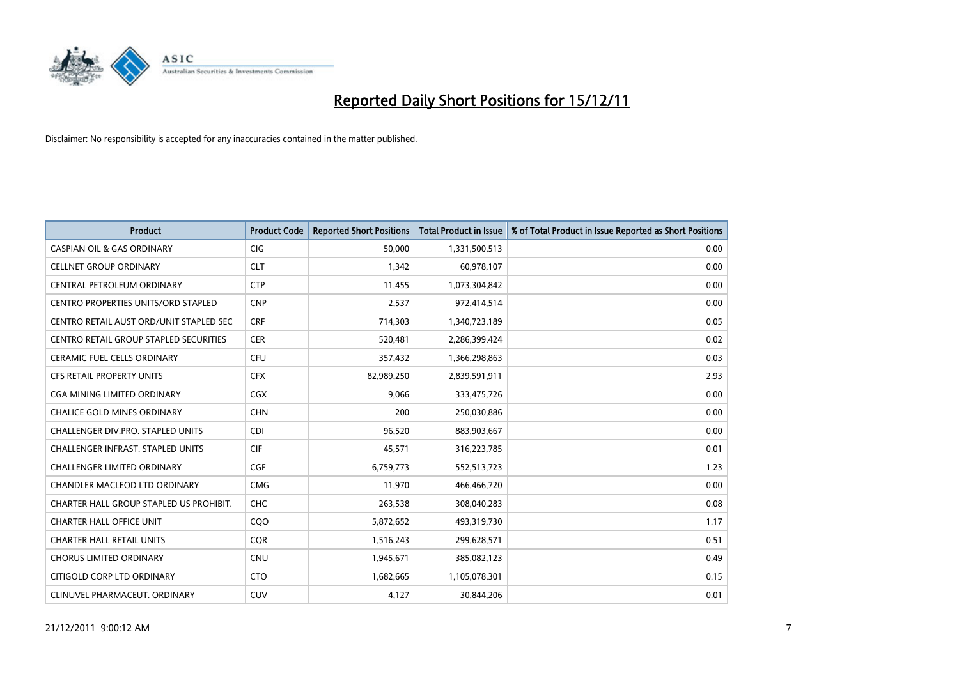

| <b>Product</b>                           | <b>Product Code</b> | <b>Reported Short Positions</b> | Total Product in Issue | % of Total Product in Issue Reported as Short Positions |
|------------------------------------------|---------------------|---------------------------------|------------------------|---------------------------------------------------------|
| <b>CASPIAN OIL &amp; GAS ORDINARY</b>    | <b>CIG</b>          | 50.000                          | 1,331,500,513          | 0.00                                                    |
| <b>CELLNET GROUP ORDINARY</b>            | <b>CLT</b>          | 1,342                           | 60,978,107             | 0.00                                                    |
| <b>CENTRAL PETROLEUM ORDINARY</b>        | <b>CTP</b>          | 11,455                          | 1,073,304,842          | 0.00                                                    |
| CENTRO PROPERTIES UNITS/ORD STAPLED      | <b>CNP</b>          | 2,537                           | 972,414,514            | 0.00                                                    |
| CENTRO RETAIL AUST ORD/UNIT STAPLED SEC  | <b>CRF</b>          | 714,303                         | 1,340,723,189          | 0.05                                                    |
| CENTRO RETAIL GROUP STAPLED SECURITIES   | <b>CER</b>          | 520,481                         | 2,286,399,424          | 0.02                                                    |
| <b>CERAMIC FUEL CELLS ORDINARY</b>       | CFU                 | 357,432                         | 1,366,298,863          | 0.03                                                    |
| <b>CFS RETAIL PROPERTY UNITS</b>         | <b>CFX</b>          | 82,989,250                      | 2,839,591,911          | 2.93                                                    |
| CGA MINING LIMITED ORDINARY              | <b>CGX</b>          | 9,066                           | 333,475,726            | 0.00                                                    |
| <b>CHALICE GOLD MINES ORDINARY</b>       | <b>CHN</b>          | 200                             | 250,030,886            | 0.00                                                    |
| CHALLENGER DIV.PRO. STAPLED UNITS        | <b>CDI</b>          | 96,520                          | 883,903,667            | 0.00                                                    |
| <b>CHALLENGER INFRAST, STAPLED UNITS</b> | <b>CIF</b>          | 45,571                          | 316,223,785            | 0.01                                                    |
| <b>CHALLENGER LIMITED ORDINARY</b>       | CGF                 | 6,759,773                       | 552,513,723            | 1.23                                                    |
| <b>CHANDLER MACLEOD LTD ORDINARY</b>     | <b>CMG</b>          | 11,970                          | 466,466,720            | 0.00                                                    |
| CHARTER HALL GROUP STAPLED US PROHIBIT.  | <b>CHC</b>          | 263,538                         | 308,040,283            | 0.08                                                    |
| <b>CHARTER HALL OFFICE UNIT</b>          | C <sub>O</sub> O    | 5,872,652                       | 493,319,730            | 1.17                                                    |
| <b>CHARTER HALL RETAIL UNITS</b>         | <b>COR</b>          | 1,516,243                       | 299,628,571            | 0.51                                                    |
| <b>CHORUS LIMITED ORDINARY</b>           | <b>CNU</b>          | 1,945,671                       | 385,082,123            | 0.49                                                    |
| CITIGOLD CORP LTD ORDINARY               | <b>CTO</b>          | 1,682,665                       | 1,105,078,301          | 0.15                                                    |
| CLINUVEL PHARMACEUT. ORDINARY            | CUV                 | 4.127                           | 30,844,206             | 0.01                                                    |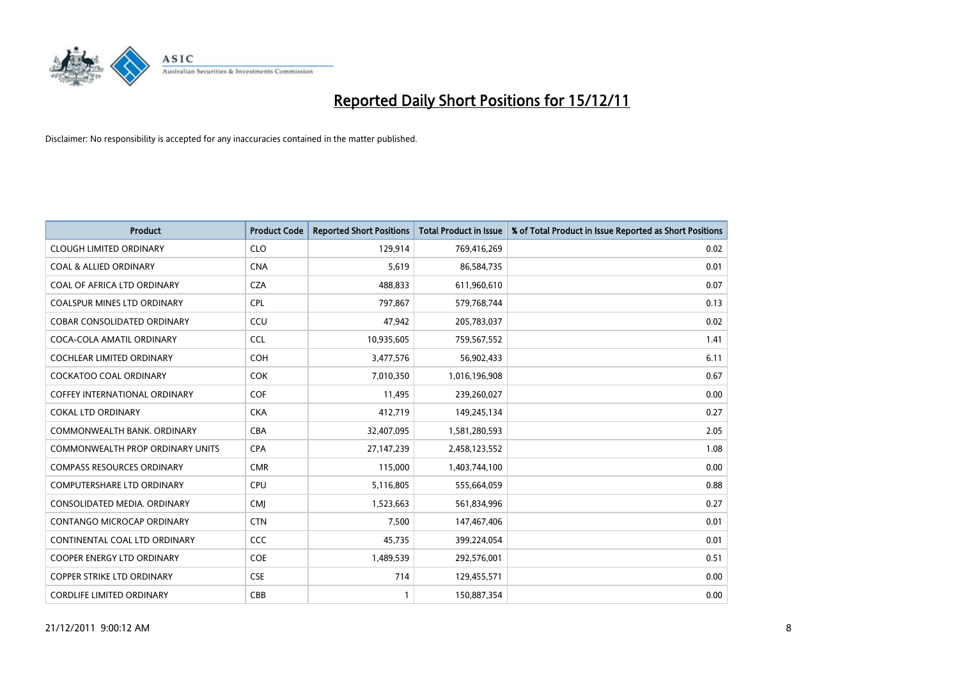

| <b>Product</b>                          | <b>Product Code</b> | <b>Reported Short Positions</b> | <b>Total Product in Issue</b> | % of Total Product in Issue Reported as Short Positions |
|-----------------------------------------|---------------------|---------------------------------|-------------------------------|---------------------------------------------------------|
| <b>CLOUGH LIMITED ORDINARY</b>          | <b>CLO</b>          | 129,914                         | 769,416,269                   | 0.02                                                    |
| <b>COAL &amp; ALLIED ORDINARY</b>       | <b>CNA</b>          | 5,619                           | 86,584,735                    | 0.01                                                    |
| COAL OF AFRICA LTD ORDINARY             | <b>CZA</b>          | 488,833                         | 611,960,610                   | 0.07                                                    |
| COALSPUR MINES LTD ORDINARY             | <b>CPL</b>          | 797,867                         | 579,768,744                   | 0.13                                                    |
| <b>COBAR CONSOLIDATED ORDINARY</b>      | CCU                 | 47,942                          | 205,783,037                   | 0.02                                                    |
| COCA-COLA AMATIL ORDINARY               | <b>CCL</b>          | 10,935,605                      | 759,567,552                   | 1.41                                                    |
| <b>COCHLEAR LIMITED ORDINARY</b>        | <b>COH</b>          | 3,477,576                       | 56,902,433                    | 6.11                                                    |
| <b>COCKATOO COAL ORDINARY</b>           | <b>COK</b>          | 7,010,350                       | 1,016,196,908                 | 0.67                                                    |
| <b>COFFEY INTERNATIONAL ORDINARY</b>    | <b>COF</b>          | 11,495                          | 239,260,027                   | 0.00                                                    |
| <b>COKAL LTD ORDINARY</b>               | <b>CKA</b>          | 412,719                         | 149,245,134                   | 0.27                                                    |
| COMMONWEALTH BANK, ORDINARY             | <b>CBA</b>          | 32,407,095                      | 1,581,280,593                 | 2.05                                                    |
| <b>COMMONWEALTH PROP ORDINARY UNITS</b> | <b>CPA</b>          | 27,147,239                      | 2,458,123,552                 | 1.08                                                    |
| <b>COMPASS RESOURCES ORDINARY</b>       | <b>CMR</b>          | 115,000                         | 1,403,744,100                 | 0.00                                                    |
| <b>COMPUTERSHARE LTD ORDINARY</b>       | <b>CPU</b>          | 5,116,805                       | 555,664,059                   | 0.88                                                    |
| CONSOLIDATED MEDIA, ORDINARY            | <b>CMI</b>          | 1,523,663                       | 561,834,996                   | 0.27                                                    |
| CONTANGO MICROCAP ORDINARY              | <b>CTN</b>          | 7,500                           | 147,467,406                   | 0.01                                                    |
| CONTINENTAL COAL LTD ORDINARY           | CCC                 | 45,735                          | 399,224,054                   | 0.01                                                    |
| <b>COOPER ENERGY LTD ORDINARY</b>       | COE                 | 1,489,539                       | 292,576,001                   | 0.51                                                    |
| <b>COPPER STRIKE LTD ORDINARY</b>       | <b>CSE</b>          | 714                             | 129,455,571                   | 0.00                                                    |
| <b>CORDLIFE LIMITED ORDINARY</b>        | CBB                 |                                 | 150,887,354                   | 0.00                                                    |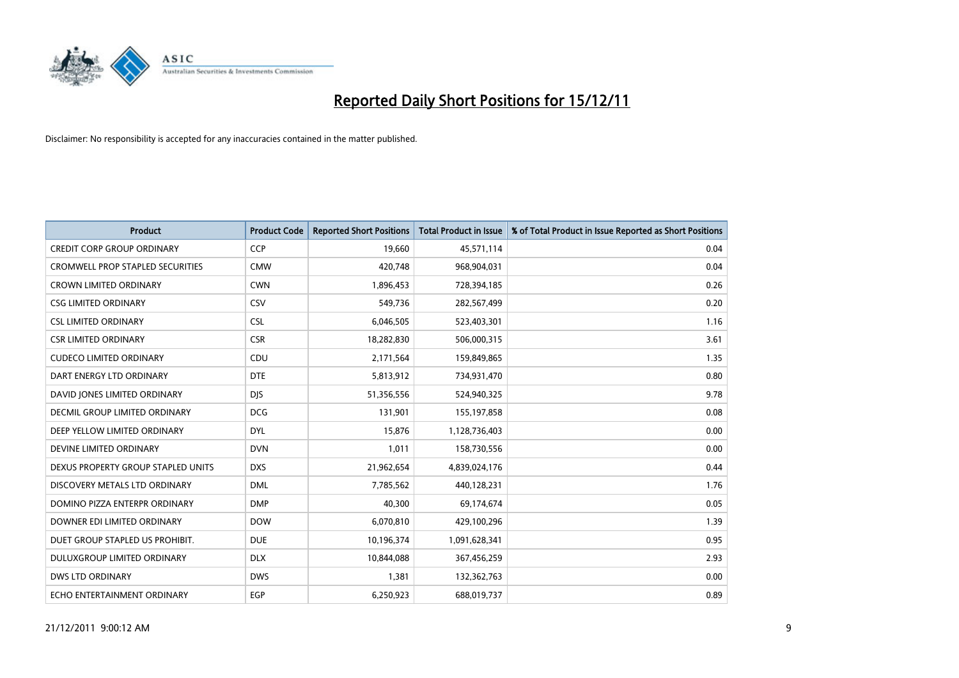

| <b>Product</b>                          | <b>Product Code</b> | <b>Reported Short Positions</b> | <b>Total Product in Issue</b> | % of Total Product in Issue Reported as Short Positions |
|-----------------------------------------|---------------------|---------------------------------|-------------------------------|---------------------------------------------------------|
| <b>CREDIT CORP GROUP ORDINARY</b>       | <b>CCP</b>          | 19,660                          | 45,571,114                    | 0.04                                                    |
| <b>CROMWELL PROP STAPLED SECURITIES</b> | <b>CMW</b>          | 420,748                         | 968,904,031                   | 0.04                                                    |
| <b>CROWN LIMITED ORDINARY</b>           | <b>CWN</b>          | 1,896,453                       | 728,394,185                   | 0.26                                                    |
| <b>CSG LIMITED ORDINARY</b>             | CSV                 | 549,736                         | 282,567,499                   | 0.20                                                    |
| <b>CSL LIMITED ORDINARY</b>             | <b>CSL</b>          | 6,046,505                       | 523,403,301                   | 1.16                                                    |
| <b>CSR LIMITED ORDINARY</b>             | <b>CSR</b>          | 18,282,830                      | 506,000,315                   | 3.61                                                    |
| <b>CUDECO LIMITED ORDINARY</b>          | CDU                 | 2,171,564                       | 159,849,865                   | 1.35                                                    |
| DART ENERGY LTD ORDINARY                | <b>DTE</b>          | 5,813,912                       | 734,931,470                   | 0.80                                                    |
| DAVID JONES LIMITED ORDINARY            | <b>DJS</b>          | 51,356,556                      | 524,940,325                   | 9.78                                                    |
| DECMIL GROUP LIMITED ORDINARY           | <b>DCG</b>          | 131,901                         | 155,197,858                   | 0.08                                                    |
| DEEP YELLOW LIMITED ORDINARY            | <b>DYL</b>          | 15,876                          | 1,128,736,403                 | 0.00                                                    |
| DEVINE LIMITED ORDINARY                 | <b>DVN</b>          | 1,011                           | 158,730,556                   | 0.00                                                    |
| DEXUS PROPERTY GROUP STAPLED UNITS      | <b>DXS</b>          | 21,962,654                      | 4,839,024,176                 | 0.44                                                    |
| DISCOVERY METALS LTD ORDINARY           | <b>DML</b>          | 7,785,562                       | 440,128,231                   | 1.76                                                    |
| DOMINO PIZZA ENTERPR ORDINARY           | <b>DMP</b>          | 40,300                          | 69,174,674                    | 0.05                                                    |
| DOWNER EDI LIMITED ORDINARY             | <b>DOW</b>          | 6,070,810                       | 429,100,296                   | 1.39                                                    |
| DUET GROUP STAPLED US PROHIBIT.         | <b>DUE</b>          | 10,196,374                      | 1,091,628,341                 | 0.95                                                    |
| DULUXGROUP LIMITED ORDINARY             | <b>DLX</b>          | 10,844,088                      | 367,456,259                   | 2.93                                                    |
| <b>DWS LTD ORDINARY</b>                 | <b>DWS</b>          | 1,381                           | 132,362,763                   | 0.00                                                    |
| ECHO ENTERTAINMENT ORDINARY             | EGP                 | 6,250,923                       | 688,019,737                   | 0.89                                                    |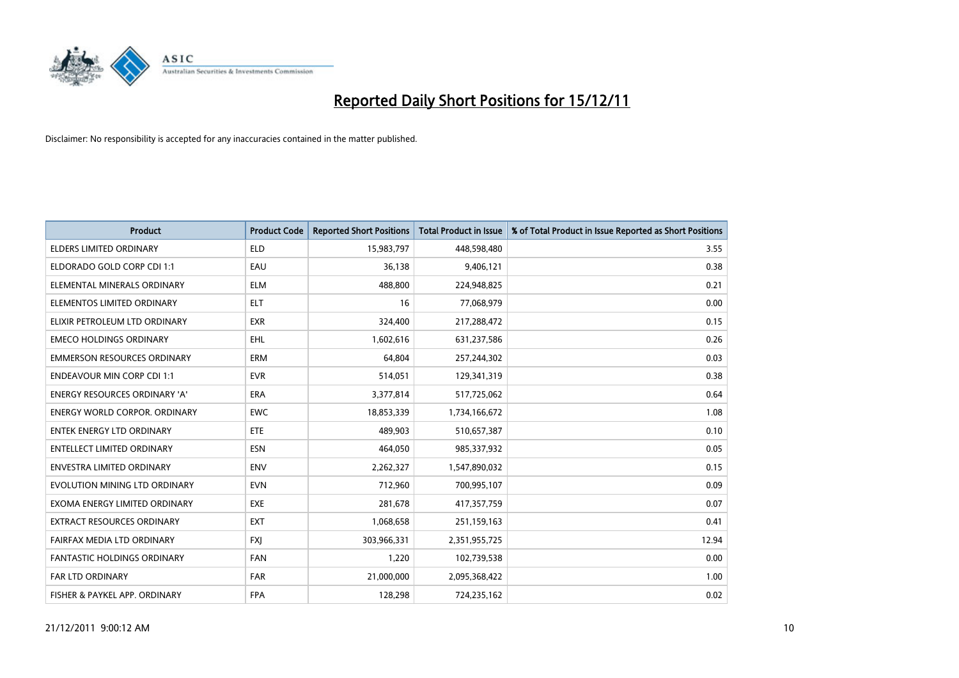

| <b>Product</b>                       | <b>Product Code</b> | <b>Reported Short Positions</b> | <b>Total Product in Issue</b> | % of Total Product in Issue Reported as Short Positions |
|--------------------------------------|---------------------|---------------------------------|-------------------------------|---------------------------------------------------------|
| <b>ELDERS LIMITED ORDINARY</b>       | <b>ELD</b>          | 15,983,797                      | 448,598,480                   | 3.55                                                    |
| ELDORADO GOLD CORP CDI 1:1           | EAU                 | 36,138                          | 9,406,121                     | 0.38                                                    |
| ELEMENTAL MINERALS ORDINARY          | <b>ELM</b>          | 488,800                         | 224,948,825                   | 0.21                                                    |
| ELEMENTOS LIMITED ORDINARY           | <b>ELT</b>          | 16                              | 77,068,979                    | 0.00                                                    |
| ELIXIR PETROLEUM LTD ORDINARY        | <b>EXR</b>          | 324,400                         | 217,288,472                   | 0.15                                                    |
| <b>EMECO HOLDINGS ORDINARY</b>       | <b>EHL</b>          | 1,602,616                       | 631,237,586                   | 0.26                                                    |
| <b>EMMERSON RESOURCES ORDINARY</b>   | <b>ERM</b>          | 64,804                          | 257,244,302                   | 0.03                                                    |
| <b>ENDEAVOUR MIN CORP CDI 1:1</b>    | <b>EVR</b>          | 514,051                         | 129,341,319                   | 0.38                                                    |
| <b>ENERGY RESOURCES ORDINARY 'A'</b> | <b>ERA</b>          | 3,377,814                       | 517,725,062                   | 0.64                                                    |
| <b>ENERGY WORLD CORPOR, ORDINARY</b> | <b>EWC</b>          | 18,853,339                      | 1,734,166,672                 | 1.08                                                    |
| <b>ENTEK ENERGY LTD ORDINARY</b>     | <b>ETE</b>          | 489,903                         | 510,657,387                   | 0.10                                                    |
| ENTELLECT LIMITED ORDINARY           | <b>ESN</b>          | 464,050                         | 985,337,932                   | 0.05                                                    |
| <b>ENVESTRA LIMITED ORDINARY</b>     | <b>ENV</b>          | 2,262,327                       | 1,547,890,032                 | 0.15                                                    |
| EVOLUTION MINING LTD ORDINARY        | <b>EVN</b>          | 712,960                         | 700,995,107                   | 0.09                                                    |
| EXOMA ENERGY LIMITED ORDINARY        | <b>EXE</b>          | 281,678                         | 417,357,759                   | 0.07                                                    |
| EXTRACT RESOURCES ORDINARY           | <b>EXT</b>          | 1,068,658                       | 251,159,163                   | 0.41                                                    |
| FAIRFAX MEDIA LTD ORDINARY           | <b>FXI</b>          | 303,966,331                     | 2,351,955,725                 | 12.94                                                   |
| <b>FANTASTIC HOLDINGS ORDINARY</b>   | <b>FAN</b>          | 1,220                           | 102,739,538                   | 0.00                                                    |
| FAR LTD ORDINARY                     | <b>FAR</b>          | 21,000,000                      | 2,095,368,422                 | 1.00                                                    |
| FISHER & PAYKEL APP. ORDINARY        | <b>FPA</b>          | 128,298                         | 724,235,162                   | 0.02                                                    |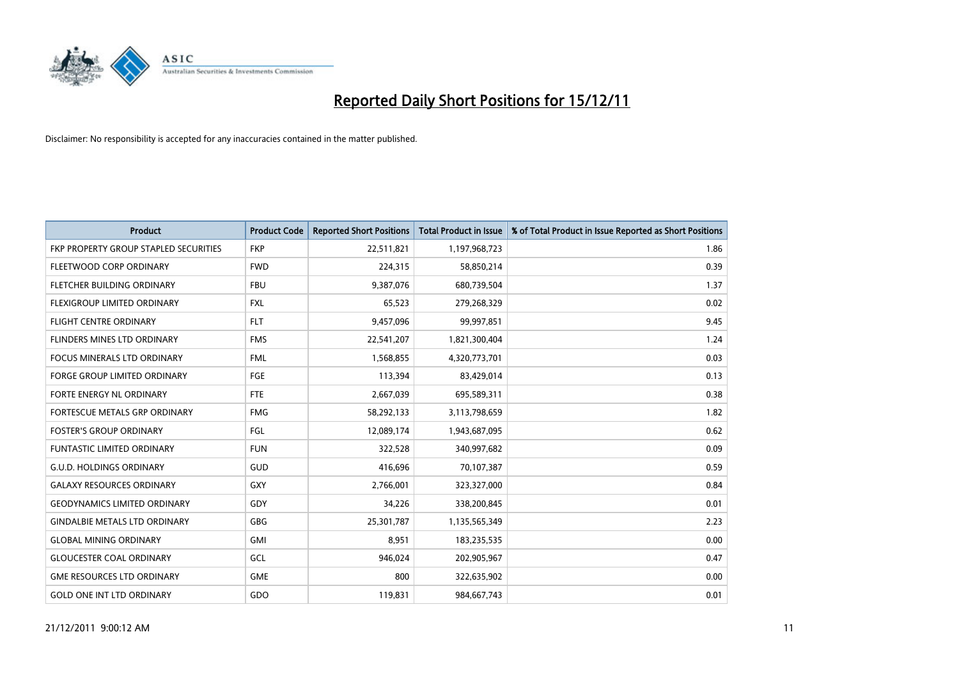

| <b>Product</b>                        | <b>Product Code</b> | <b>Reported Short Positions</b> | Total Product in Issue | % of Total Product in Issue Reported as Short Positions |
|---------------------------------------|---------------------|---------------------------------|------------------------|---------------------------------------------------------|
| FKP PROPERTY GROUP STAPLED SECURITIES | <b>FKP</b>          | 22,511,821                      | 1,197,968,723          | 1.86                                                    |
| FLEETWOOD CORP ORDINARY               | <b>FWD</b>          | 224,315                         | 58,850,214             | 0.39                                                    |
| FLETCHER BUILDING ORDINARY            | <b>FBU</b>          | 9,387,076                       | 680,739,504            | 1.37                                                    |
| FLEXIGROUP LIMITED ORDINARY           | <b>FXL</b>          | 65,523                          | 279,268,329            | 0.02                                                    |
| <b>FLIGHT CENTRE ORDINARY</b>         | <b>FLT</b>          | 9,457,096                       | 99,997,851             | 9.45                                                    |
| FLINDERS MINES LTD ORDINARY           | <b>FMS</b>          | 22,541,207                      | 1,821,300,404          | 1.24                                                    |
| <b>FOCUS MINERALS LTD ORDINARY</b>    | <b>FML</b>          | 1,568,855                       | 4,320,773,701          | 0.03                                                    |
| <b>FORGE GROUP LIMITED ORDINARY</b>   | FGE                 | 113,394                         | 83,429,014             | 0.13                                                    |
| FORTE ENERGY NL ORDINARY              | <b>FTE</b>          | 2,667,039                       | 695,589,311            | 0.38                                                    |
| FORTESCUE METALS GRP ORDINARY         | <b>FMG</b>          | 58,292,133                      | 3,113,798,659          | 1.82                                                    |
| <b>FOSTER'S GROUP ORDINARY</b>        | FGL                 | 12,089,174                      | 1,943,687,095          | 0.62                                                    |
| FUNTASTIC LIMITED ORDINARY            | <b>FUN</b>          | 322,528                         | 340,997,682            | 0.09                                                    |
| <b>G.U.D. HOLDINGS ORDINARY</b>       | GUD                 | 416,696                         | 70,107,387             | 0.59                                                    |
| <b>GALAXY RESOURCES ORDINARY</b>      | GXY                 | 2,766,001                       | 323,327,000            | 0.84                                                    |
| <b>GEODYNAMICS LIMITED ORDINARY</b>   | GDY                 | 34.226                          | 338,200,845            | 0.01                                                    |
| <b>GINDALBIE METALS LTD ORDINARY</b>  | GBG                 | 25,301,787                      | 1,135,565,349          | 2.23                                                    |
| <b>GLOBAL MINING ORDINARY</b>         | <b>GMI</b>          | 8,951                           | 183,235,535            | 0.00                                                    |
| <b>GLOUCESTER COAL ORDINARY</b>       | GCL                 | 946.024                         | 202,905,967            | 0.47                                                    |
| <b>GME RESOURCES LTD ORDINARY</b>     | <b>GME</b>          | 800                             | 322,635,902            | 0.00                                                    |
| <b>GOLD ONE INT LTD ORDINARY</b>      | GDO                 | 119,831                         | 984,667,743            | 0.01                                                    |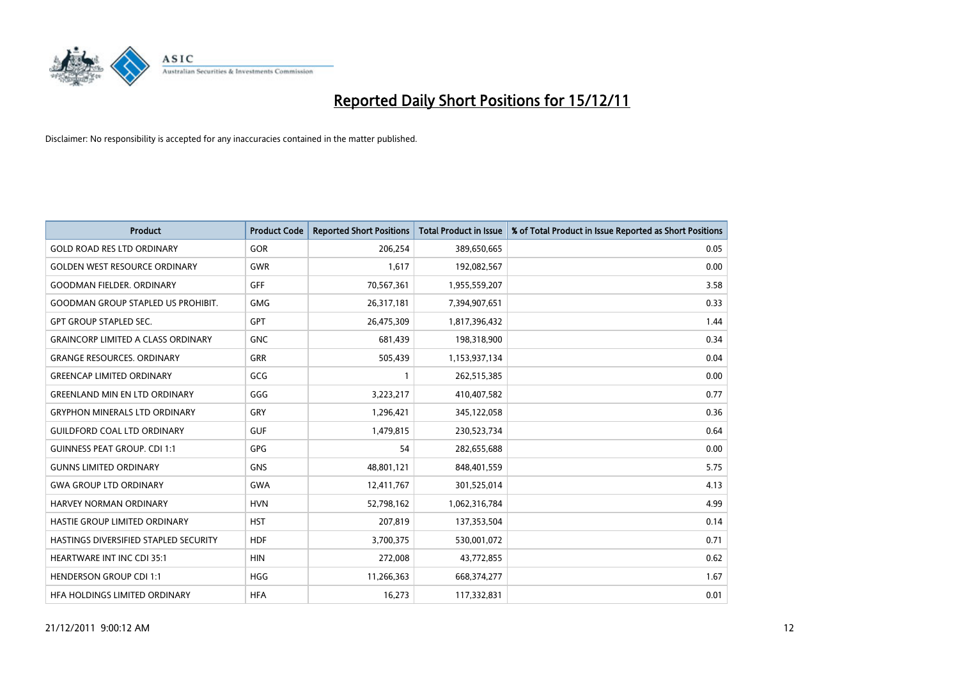

| <b>Product</b>                            | <b>Product Code</b> | <b>Reported Short Positions</b> | <b>Total Product in Issue</b> | % of Total Product in Issue Reported as Short Positions |
|-------------------------------------------|---------------------|---------------------------------|-------------------------------|---------------------------------------------------------|
| <b>GOLD ROAD RES LTD ORDINARY</b>         | <b>GOR</b>          | 206,254                         | 389,650,665                   | 0.05                                                    |
| <b>GOLDEN WEST RESOURCE ORDINARY</b>      | <b>GWR</b>          | 1,617                           | 192,082,567                   | 0.00                                                    |
| <b>GOODMAN FIELDER. ORDINARY</b>          | <b>GFF</b>          | 70,567,361                      | 1,955,559,207                 | 3.58                                                    |
| <b>GOODMAN GROUP STAPLED US PROHIBIT.</b> | <b>GMG</b>          | 26,317,181                      | 7,394,907,651                 | 0.33                                                    |
| <b>GPT GROUP STAPLED SEC.</b>             | <b>GPT</b>          | 26,475,309                      | 1,817,396,432                 | 1.44                                                    |
| <b>GRAINCORP LIMITED A CLASS ORDINARY</b> | <b>GNC</b>          | 681,439                         | 198,318,900                   | 0.34                                                    |
| <b>GRANGE RESOURCES, ORDINARY</b>         | GRR                 | 505,439                         | 1,153,937,134                 | 0.04                                                    |
| <b>GREENCAP LIMITED ORDINARY</b>          | GCG                 |                                 | 262,515,385                   | 0.00                                                    |
| <b>GREENLAND MIN EN LTD ORDINARY</b>      | GGG                 | 3,223,217                       | 410,407,582                   | 0.77                                                    |
| <b>GRYPHON MINERALS LTD ORDINARY</b>      | GRY                 | 1,296,421                       | 345,122,058                   | 0.36                                                    |
| <b>GUILDFORD COAL LTD ORDINARY</b>        | <b>GUF</b>          | 1,479,815                       | 230,523,734                   | 0.64                                                    |
| <b>GUINNESS PEAT GROUP. CDI 1:1</b>       | <b>GPG</b>          | 54                              | 282,655,688                   | 0.00                                                    |
| <b>GUNNS LIMITED ORDINARY</b>             | <b>GNS</b>          | 48,801,121                      | 848,401,559                   | 5.75                                                    |
| <b>GWA GROUP LTD ORDINARY</b>             | <b>GWA</b>          | 12,411,767                      | 301,525,014                   | 4.13                                                    |
| HARVEY NORMAN ORDINARY                    | <b>HVN</b>          | 52,798,162                      | 1,062,316,784                 | 4.99                                                    |
| HASTIE GROUP LIMITED ORDINARY             | <b>HST</b>          | 207,819                         | 137,353,504                   | 0.14                                                    |
| HASTINGS DIVERSIFIED STAPLED SECURITY     | <b>HDF</b>          | 3,700,375                       | 530,001,072                   | 0.71                                                    |
| <b>HEARTWARE INT INC CDI 35:1</b>         | <b>HIN</b>          | 272,008                         | 43,772,855                    | 0.62                                                    |
| <b>HENDERSON GROUP CDI 1:1</b>            | <b>HGG</b>          | 11,266,363                      | 668,374,277                   | 1.67                                                    |
| HFA HOLDINGS LIMITED ORDINARY             | <b>HFA</b>          | 16.273                          | 117,332,831                   | 0.01                                                    |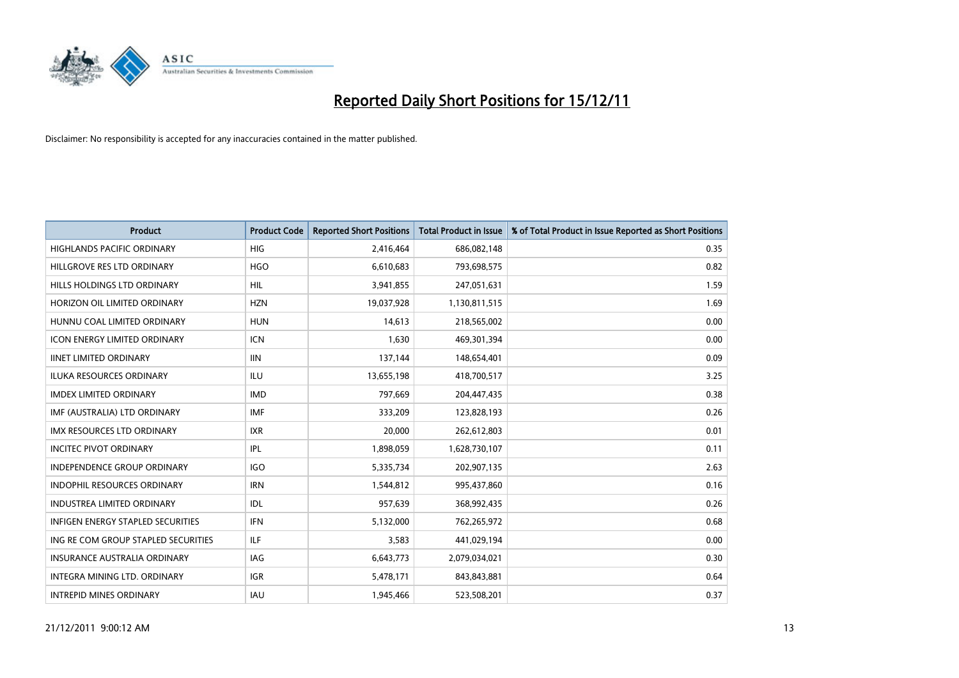

| <b>Product</b>                           | <b>Product Code</b> | <b>Reported Short Positions</b> | Total Product in Issue | % of Total Product in Issue Reported as Short Positions |
|------------------------------------------|---------------------|---------------------------------|------------------------|---------------------------------------------------------|
| <b>HIGHLANDS PACIFIC ORDINARY</b>        | <b>HIG</b>          | 2,416,464                       | 686,082,148            | 0.35                                                    |
| HILLGROVE RES LTD ORDINARY               | <b>HGO</b>          | 6,610,683                       | 793,698,575            | 0.82                                                    |
| <b>HILLS HOLDINGS LTD ORDINARY</b>       | <b>HIL</b>          | 3,941,855                       | 247,051,631            | 1.59                                                    |
| HORIZON OIL LIMITED ORDINARY             | <b>HZN</b>          | 19,037,928                      | 1,130,811,515          | 1.69                                                    |
| HUNNU COAL LIMITED ORDINARY              | <b>HUN</b>          | 14.613                          | 218,565,002            | 0.00                                                    |
| <b>ICON ENERGY LIMITED ORDINARY</b>      | <b>ICN</b>          | 1,630                           | 469,301,394            | 0.00                                                    |
| <b>IINET LIMITED ORDINARY</b>            | <b>IIN</b>          | 137,144                         | 148,654,401            | 0.09                                                    |
| <b>ILUKA RESOURCES ORDINARY</b>          | ILU                 | 13,655,198                      | 418,700,517            | 3.25                                                    |
| <b>IMDEX LIMITED ORDINARY</b>            | <b>IMD</b>          | 797,669                         | 204,447,435            | 0.38                                                    |
| IMF (AUSTRALIA) LTD ORDINARY             | <b>IMF</b>          | 333,209                         | 123,828,193            | 0.26                                                    |
| <b>IMX RESOURCES LTD ORDINARY</b>        | <b>IXR</b>          | 20,000                          | 262,612,803            | 0.01                                                    |
| <b>INCITEC PIVOT ORDINARY</b>            | IPL                 | 1,898,059                       | 1,628,730,107          | 0.11                                                    |
| <b>INDEPENDENCE GROUP ORDINARY</b>       | IGO                 | 5,335,734                       | 202,907,135            | 2.63                                                    |
| <b>INDOPHIL RESOURCES ORDINARY</b>       | <b>IRN</b>          | 1,544,812                       | 995,437,860            | 0.16                                                    |
| <b>INDUSTREA LIMITED ORDINARY</b>        | IDL                 | 957,639                         | 368,992,435            | 0.26                                                    |
| <b>INFIGEN ENERGY STAPLED SECURITIES</b> | <b>IFN</b>          | 5,132,000                       | 762,265,972            | 0.68                                                    |
| ING RE COM GROUP STAPLED SECURITIES      | <b>ILF</b>          | 3,583                           | 441,029,194            | 0.00                                                    |
| INSURANCE AUSTRALIA ORDINARY             | IAG                 | 6,643,773                       | 2,079,034,021          | 0.30                                                    |
| <b>INTEGRA MINING LTD, ORDINARY</b>      | <b>IGR</b>          | 5,478,171                       | 843,843,881            | 0.64                                                    |
| <b>INTREPID MINES ORDINARY</b>           | <b>IAU</b>          | 1.945.466                       | 523,508,201            | 0.37                                                    |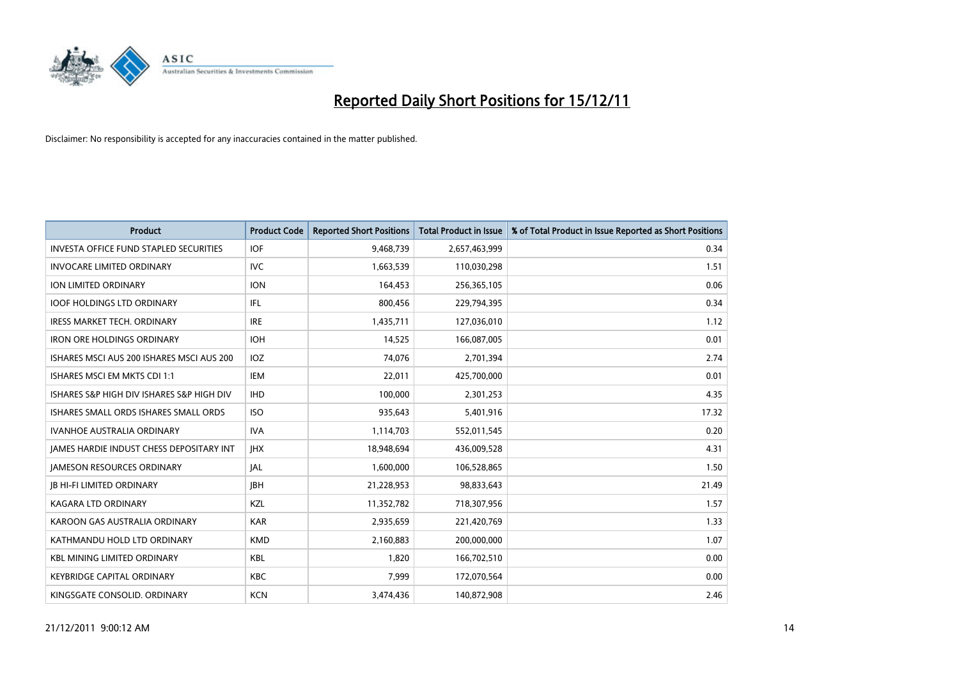

| <b>Product</b>                                  | <b>Product Code</b> | <b>Reported Short Positions</b> | <b>Total Product in Issue</b> | % of Total Product in Issue Reported as Short Positions |
|-------------------------------------------------|---------------------|---------------------------------|-------------------------------|---------------------------------------------------------|
| <b>INVESTA OFFICE FUND STAPLED SECURITIES</b>   | <b>IOF</b>          | 9,468,739                       | 2,657,463,999                 | 0.34                                                    |
| <b>INVOCARE LIMITED ORDINARY</b>                | <b>IVC</b>          | 1,663,539                       | 110,030,298                   | 1.51                                                    |
| <b>ION LIMITED ORDINARY</b>                     | <b>ION</b>          | 164,453                         | 256,365,105                   | 0.06                                                    |
| <b>IOOF HOLDINGS LTD ORDINARY</b>               | IFL.                | 800,456                         | 229,794,395                   | 0.34                                                    |
| <b>IRESS MARKET TECH. ORDINARY</b>              | <b>IRE</b>          | 1,435,711                       | 127,036,010                   | 1.12                                                    |
| <b>IRON ORE HOLDINGS ORDINARY</b>               | <b>IOH</b>          | 14,525                          | 166,087,005                   | 0.01                                                    |
| ISHARES MSCI AUS 200 ISHARES MSCI AUS 200       | <b>IOZ</b>          | 74.076                          | 2,701,394                     | 2.74                                                    |
| ISHARES MSCI EM MKTS CDI 1:1                    | <b>IEM</b>          | 22,011                          | 425,700,000                   | 0.01                                                    |
| ISHARES S&P HIGH DIV ISHARES S&P HIGH DIV       | <b>IHD</b>          | 100,000                         | 2,301,253                     | 4.35                                                    |
| ISHARES SMALL ORDS ISHARES SMALL ORDS           | <b>ISO</b>          | 935,643                         | 5,401,916                     | 17.32                                                   |
| <b>IVANHOE AUSTRALIA ORDINARY</b>               | <b>IVA</b>          | 1,114,703                       | 552,011,545                   | 0.20                                                    |
| <b>JAMES HARDIE INDUST CHESS DEPOSITARY INT</b> | <b>IHX</b>          | 18,948,694                      | 436,009,528                   | 4.31                                                    |
| <b>JAMESON RESOURCES ORDINARY</b>               | <b>IAL</b>          | 1,600,000                       | 106,528,865                   | 1.50                                                    |
| <b>JB HI-FI LIMITED ORDINARY</b>                | <b>IBH</b>          | 21,228,953                      | 98,833,643                    | 21.49                                                   |
| KAGARA LTD ORDINARY                             | <b>KZL</b>          | 11,352,782                      | 718,307,956                   | 1.57                                                    |
| KAROON GAS AUSTRALIA ORDINARY                   | <b>KAR</b>          | 2,935,659                       | 221,420,769                   | 1.33                                                    |
| KATHMANDU HOLD LTD ORDINARY                     | <b>KMD</b>          | 2,160,883                       | 200,000,000                   | 1.07                                                    |
| <b>KBL MINING LIMITED ORDINARY</b>              | <b>KBL</b>          | 1,820                           | 166,702,510                   | 0.00                                                    |
| <b>KEYBRIDGE CAPITAL ORDINARY</b>               | <b>KBC</b>          | 7.999                           | 172,070,564                   | 0.00                                                    |
| KINGSGATE CONSOLID. ORDINARY                    | <b>KCN</b>          | 3,474,436                       | 140.872.908                   | 2.46                                                    |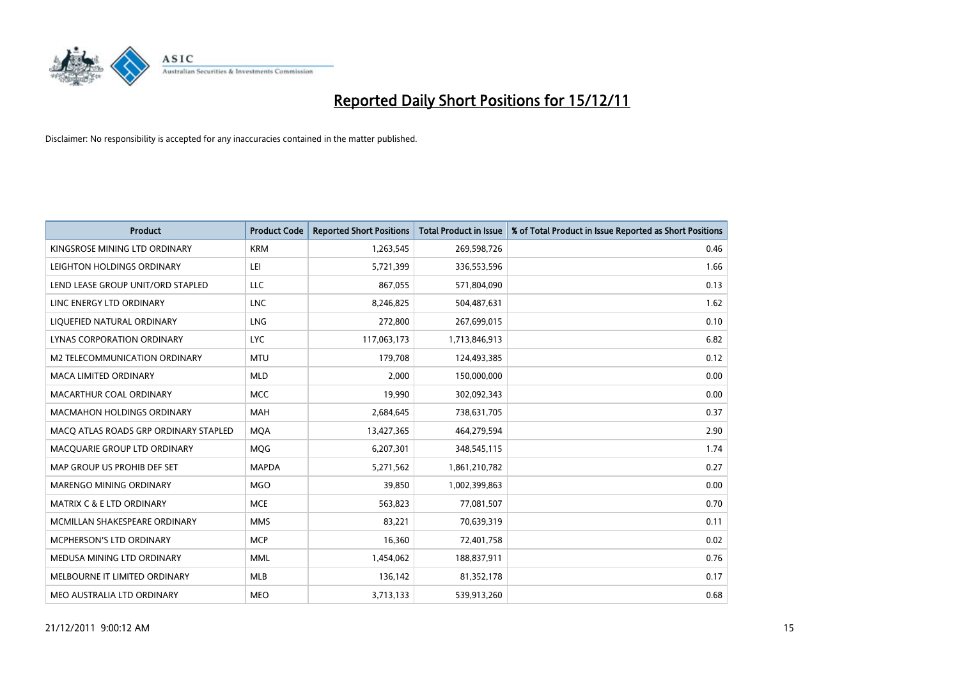

| <b>Product</b>                        | <b>Product Code</b> | <b>Reported Short Positions</b> | <b>Total Product in Issue</b> | % of Total Product in Issue Reported as Short Positions |
|---------------------------------------|---------------------|---------------------------------|-------------------------------|---------------------------------------------------------|
| KINGSROSE MINING LTD ORDINARY         | <b>KRM</b>          | 1,263,545                       | 269,598,726                   | 0.46                                                    |
| LEIGHTON HOLDINGS ORDINARY            | LEI                 | 5,721,399                       | 336,553,596                   | 1.66                                                    |
| LEND LEASE GROUP UNIT/ORD STAPLED     | LLC                 | 867,055                         | 571,804,090                   | 0.13                                                    |
| LINC ENERGY LTD ORDINARY              | <b>LNC</b>          | 8,246,825                       | 504,487,631                   | 1.62                                                    |
| LIQUEFIED NATURAL ORDINARY            | <b>LNG</b>          | 272,800                         | 267,699,015                   | 0.10                                                    |
| LYNAS CORPORATION ORDINARY            | <b>LYC</b>          | 117,063,173                     | 1,713,846,913                 | 6.82                                                    |
| M2 TELECOMMUNICATION ORDINARY         | <b>MTU</b>          | 179,708                         | 124,493,385                   | 0.12                                                    |
| MACA LIMITED ORDINARY                 | <b>MLD</b>          | 2,000                           | 150,000,000                   | 0.00                                                    |
| MACARTHUR COAL ORDINARY               | <b>MCC</b>          | 19,990                          | 302,092,343                   | 0.00                                                    |
| <b>MACMAHON HOLDINGS ORDINARY</b>     | <b>MAH</b>          | 2,684,645                       | 738,631,705                   | 0.37                                                    |
| MACQ ATLAS ROADS GRP ORDINARY STAPLED | <b>MOA</b>          | 13,427,365                      | 464,279,594                   | 2.90                                                    |
| MACQUARIE GROUP LTD ORDINARY          | <b>MQG</b>          | 6,207,301                       | 348,545,115                   | 1.74                                                    |
| MAP GROUP US PROHIB DEF SET           | <b>MAPDA</b>        | 5,271,562                       | 1,861,210,782                 | 0.27                                                    |
| MARENGO MINING ORDINARY               | <b>MGO</b>          | 39,850                          | 1,002,399,863                 | 0.00                                                    |
| <b>MATRIX C &amp; E LTD ORDINARY</b>  | <b>MCE</b>          | 563,823                         | 77,081,507                    | 0.70                                                    |
| MCMILLAN SHAKESPEARE ORDINARY         | <b>MMS</b>          | 83,221                          | 70,639,319                    | 0.11                                                    |
| MCPHERSON'S LTD ORDINARY              | <b>MCP</b>          | 16,360                          | 72,401,758                    | 0.02                                                    |
| MEDUSA MINING LTD ORDINARY            | <b>MML</b>          | 1,454,062                       | 188,837,911                   | 0.76                                                    |
| MELBOURNE IT LIMITED ORDINARY         | MLB                 | 136,142                         | 81,352,178                    | 0.17                                                    |
| MEO AUSTRALIA LTD ORDINARY            | <b>MEO</b>          | 3,713,133                       | 539,913,260                   | 0.68                                                    |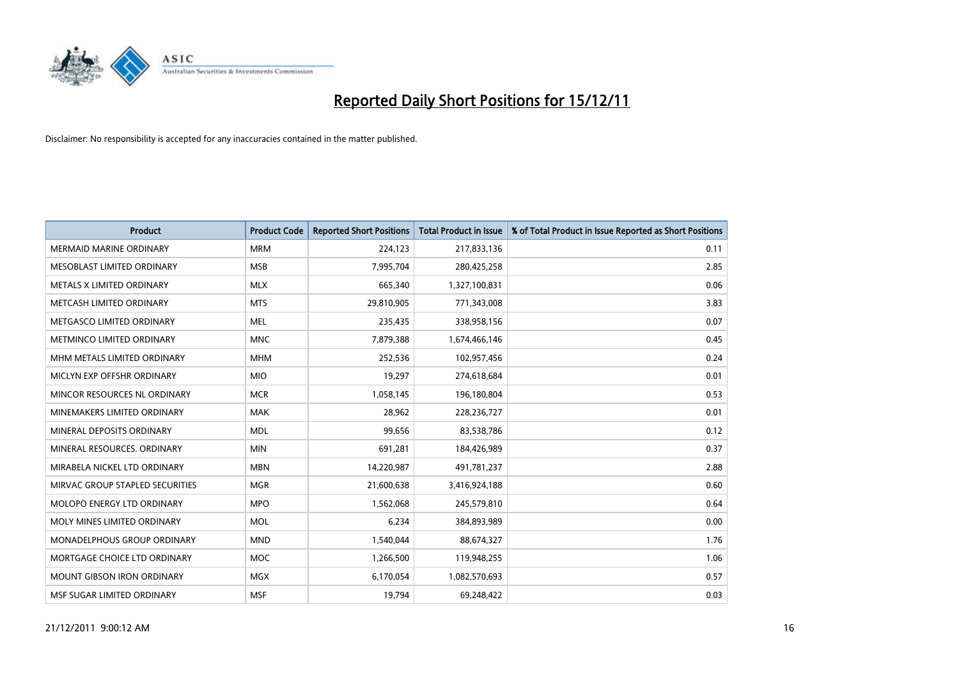

| <b>Product</b>                    | <b>Product Code</b> | <b>Reported Short Positions</b> | <b>Total Product in Issue</b> | % of Total Product in Issue Reported as Short Positions |
|-----------------------------------|---------------------|---------------------------------|-------------------------------|---------------------------------------------------------|
| <b>MERMAID MARINE ORDINARY</b>    | <b>MRM</b>          | 224,123                         | 217,833,136                   | 0.11                                                    |
| MESOBLAST LIMITED ORDINARY        | <b>MSB</b>          | 7,995,704                       | 280,425,258                   | 2.85                                                    |
| <b>METALS X LIMITED ORDINARY</b>  | <b>MLX</b>          | 665,340                         | 1,327,100,831                 | 0.06                                                    |
| METCASH LIMITED ORDINARY          | <b>MTS</b>          | 29,810,905                      | 771,343,008                   | 3.83                                                    |
| METGASCO LIMITED ORDINARY         | <b>MEL</b>          | 235,435                         | 338,958,156                   | 0.07                                                    |
| METMINCO LIMITED ORDINARY         | <b>MNC</b>          | 7,879,388                       | 1,674,466,146                 | 0.45                                                    |
| MHM METALS LIMITED ORDINARY       | <b>MHM</b>          | 252,536                         | 102,957,456                   | 0.24                                                    |
| MICLYN EXP OFFSHR ORDINARY        | <b>MIO</b>          | 19,297                          | 274,618,684                   | 0.01                                                    |
| MINCOR RESOURCES NL ORDINARY      | <b>MCR</b>          | 1,058,145                       | 196,180,804                   | 0.53                                                    |
| MINEMAKERS LIMITED ORDINARY       | <b>MAK</b>          | 28,962                          | 228,236,727                   | 0.01                                                    |
| MINERAL DEPOSITS ORDINARY         | <b>MDL</b>          | 99,656                          | 83,538,786                    | 0.12                                                    |
| MINERAL RESOURCES. ORDINARY       | <b>MIN</b>          | 691,281                         | 184,426,989                   | 0.37                                                    |
| MIRABELA NICKEL LTD ORDINARY      | <b>MBN</b>          | 14,220,987                      | 491,781,237                   | 2.88                                                    |
| MIRVAC GROUP STAPLED SECURITIES   | <b>MGR</b>          | 21,600,638                      | 3,416,924,188                 | 0.60                                                    |
| <b>MOLOPO ENERGY LTD ORDINARY</b> | <b>MPO</b>          | 1,562,068                       | 245,579,810                   | 0.64                                                    |
| MOLY MINES LIMITED ORDINARY       | <b>MOL</b>          | 6,234                           | 384,893,989                   | 0.00                                                    |
| MONADELPHOUS GROUP ORDINARY       | <b>MND</b>          | 1,540,044                       | 88,674,327                    | 1.76                                                    |
| MORTGAGE CHOICE LTD ORDINARY      | <b>MOC</b>          | 1,266,500                       | 119,948,255                   | 1.06                                                    |
| <b>MOUNT GIBSON IRON ORDINARY</b> | <b>MGX</b>          | 6,170,054                       | 1,082,570,693                 | 0.57                                                    |
| MSF SUGAR LIMITED ORDINARY        | <b>MSF</b>          | 19,794                          | 69,248,422                    | 0.03                                                    |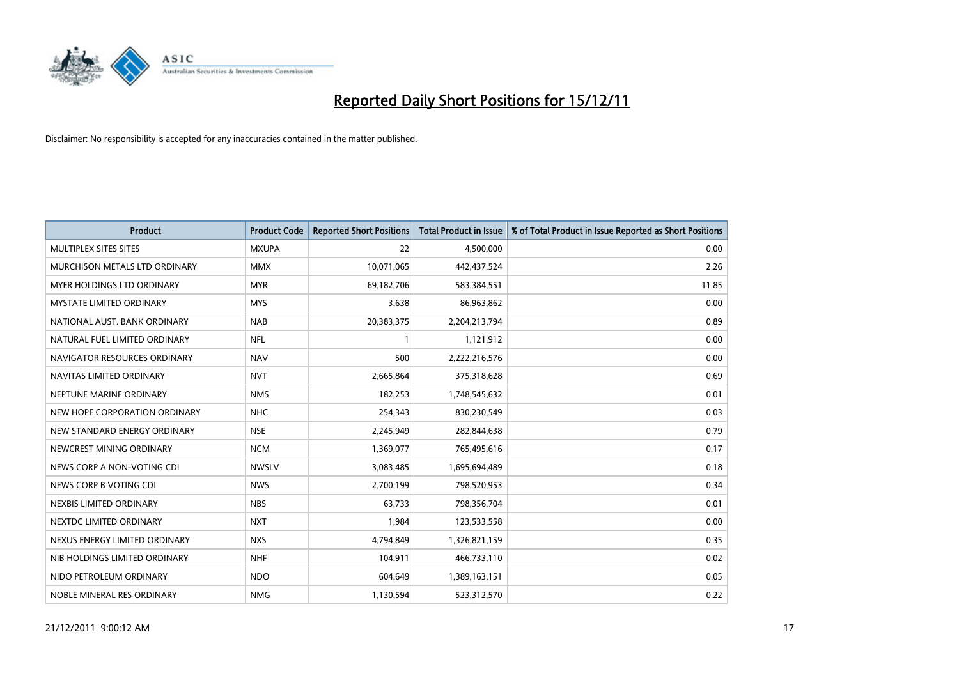

| <b>Product</b>                    | <b>Product Code</b> | <b>Reported Short Positions</b> | <b>Total Product in Issue</b> | % of Total Product in Issue Reported as Short Positions |
|-----------------------------------|---------------------|---------------------------------|-------------------------------|---------------------------------------------------------|
| MULTIPLEX SITES SITES             | <b>MXUPA</b>        | 22                              | 4,500,000                     | 0.00                                                    |
| MURCHISON METALS LTD ORDINARY     | <b>MMX</b>          | 10,071,065                      | 442,437,524                   | 2.26                                                    |
| <b>MYER HOLDINGS LTD ORDINARY</b> | <b>MYR</b>          | 69,182,706                      | 583,384,551                   | 11.85                                                   |
| MYSTATE LIMITED ORDINARY          | <b>MYS</b>          | 3,638                           | 86,963,862                    | 0.00                                                    |
| NATIONAL AUST. BANK ORDINARY      | <b>NAB</b>          | 20,383,375                      | 2,204,213,794                 | 0.89                                                    |
| NATURAL FUEL LIMITED ORDINARY     | <b>NFL</b>          | $\mathbf{1}$                    | 1,121,912                     | 0.00                                                    |
| NAVIGATOR RESOURCES ORDINARY      | <b>NAV</b>          | 500                             | 2,222,216,576                 | 0.00                                                    |
| NAVITAS LIMITED ORDINARY          | <b>NVT</b>          | 2,665,864                       | 375,318,628                   | 0.69                                                    |
| NEPTUNE MARINE ORDINARY           | <b>NMS</b>          | 182,253                         | 1,748,545,632                 | 0.01                                                    |
| NEW HOPE CORPORATION ORDINARY     | NHC                 | 254,343                         | 830,230,549                   | 0.03                                                    |
| NEW STANDARD ENERGY ORDINARY      | <b>NSE</b>          | 2,245,949                       | 282,844,638                   | 0.79                                                    |
| NEWCREST MINING ORDINARY          | <b>NCM</b>          | 1,369,077                       | 765,495,616                   | 0.17                                                    |
| NEWS CORP A NON-VOTING CDI        | <b>NWSLV</b>        | 3,083,485                       | 1,695,694,489                 | 0.18                                                    |
| NEWS CORP B VOTING CDI            | <b>NWS</b>          | 2,700,199                       | 798,520,953                   | 0.34                                                    |
| NEXBIS LIMITED ORDINARY           | <b>NBS</b>          | 63.733                          | 798,356,704                   | 0.01                                                    |
| NEXTDC LIMITED ORDINARY           | <b>NXT</b>          | 1,984                           | 123,533,558                   | 0.00                                                    |
| NEXUS ENERGY LIMITED ORDINARY     | <b>NXS</b>          | 4,794,849                       | 1,326,821,159                 | 0.35                                                    |
| NIB HOLDINGS LIMITED ORDINARY     | <b>NHF</b>          | 104,911                         | 466,733,110                   | 0.02                                                    |
| NIDO PETROLEUM ORDINARY           | <b>NDO</b>          | 604,649                         | 1,389,163,151                 | 0.05                                                    |
| NOBLE MINERAL RES ORDINARY        | <b>NMG</b>          | 1,130,594                       | 523,312,570                   | 0.22                                                    |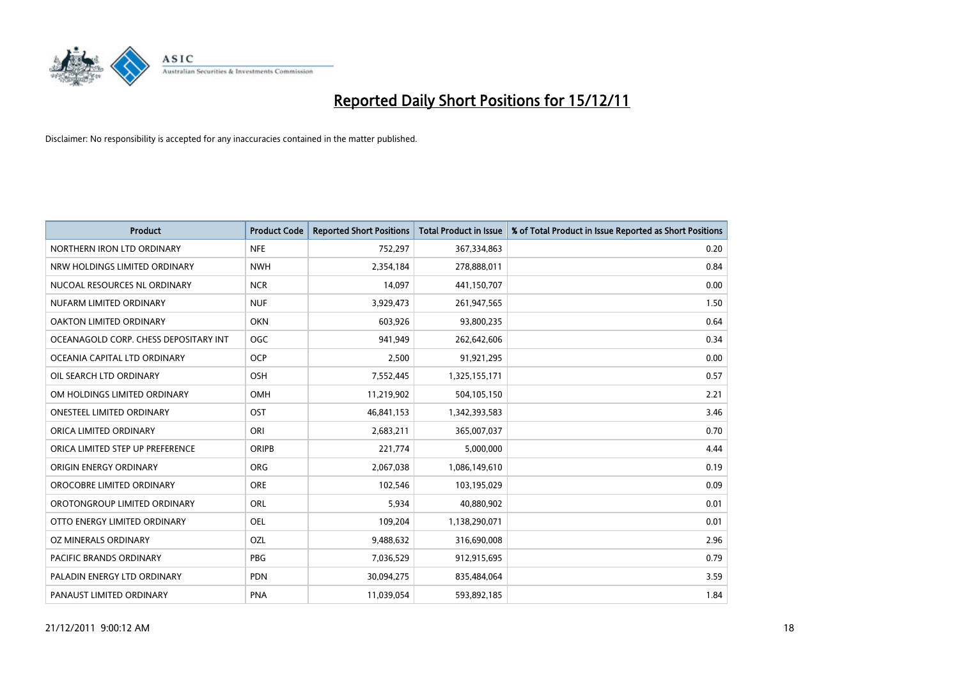

| <b>Product</b>                        | <b>Product Code</b> | <b>Reported Short Positions</b> | <b>Total Product in Issue</b> | % of Total Product in Issue Reported as Short Positions |
|---------------------------------------|---------------------|---------------------------------|-------------------------------|---------------------------------------------------------|
| NORTHERN IRON LTD ORDINARY            | <b>NFE</b>          | 752,297                         | 367,334,863                   | 0.20                                                    |
| NRW HOLDINGS LIMITED ORDINARY         | <b>NWH</b>          | 2,354,184                       | 278,888,011                   | 0.84                                                    |
| NUCOAL RESOURCES NL ORDINARY          | <b>NCR</b>          | 14,097                          | 441,150,707                   | 0.00                                                    |
| NUFARM LIMITED ORDINARY               | <b>NUF</b>          | 3,929,473                       | 261,947,565                   | 1.50                                                    |
| OAKTON LIMITED ORDINARY               | <b>OKN</b>          | 603,926                         | 93,800,235                    | 0.64                                                    |
| OCEANAGOLD CORP. CHESS DEPOSITARY INT | <b>OGC</b>          | 941,949                         | 262,642,606                   | 0.34                                                    |
| OCEANIA CAPITAL LTD ORDINARY          | <b>OCP</b>          | 2,500                           | 91,921,295                    | 0.00                                                    |
| OIL SEARCH LTD ORDINARY               | <b>OSH</b>          | 7,552,445                       | 1,325,155,171                 | 0.57                                                    |
| OM HOLDINGS LIMITED ORDINARY          | OMH                 | 11,219,902                      | 504,105,150                   | 2.21                                                    |
| <b>ONESTEEL LIMITED ORDINARY</b>      | OST                 | 46,841,153                      | 1,342,393,583                 | 3.46                                                    |
| ORICA LIMITED ORDINARY                | ORI                 | 2,683,211                       | 365,007,037                   | 0.70                                                    |
| ORICA LIMITED STEP UP PREFERENCE      | <b>ORIPB</b>        | 221,774                         | 5,000,000                     | 4.44                                                    |
| ORIGIN ENERGY ORDINARY                | <b>ORG</b>          | 2,067,038                       | 1,086,149,610                 | 0.19                                                    |
| OROCOBRE LIMITED ORDINARY             | <b>ORE</b>          | 102,546                         | 103,195,029                   | 0.09                                                    |
| OROTONGROUP LIMITED ORDINARY          | <b>ORL</b>          | 5,934                           | 40,880,902                    | 0.01                                                    |
| OTTO ENERGY LIMITED ORDINARY          | OEL                 | 109,204                         | 1,138,290,071                 | 0.01                                                    |
| OZ MINERALS ORDINARY                  | OZL                 | 9,488,632                       | 316,690,008                   | 2.96                                                    |
| <b>PACIFIC BRANDS ORDINARY</b>        | <b>PBG</b>          | 7,036,529                       | 912,915,695                   | 0.79                                                    |
| PALADIN ENERGY LTD ORDINARY           | <b>PDN</b>          | 30,094,275                      | 835,484,064                   | 3.59                                                    |
| PANAUST LIMITED ORDINARY              | <b>PNA</b>          | 11,039,054                      | 593,892,185                   | 1.84                                                    |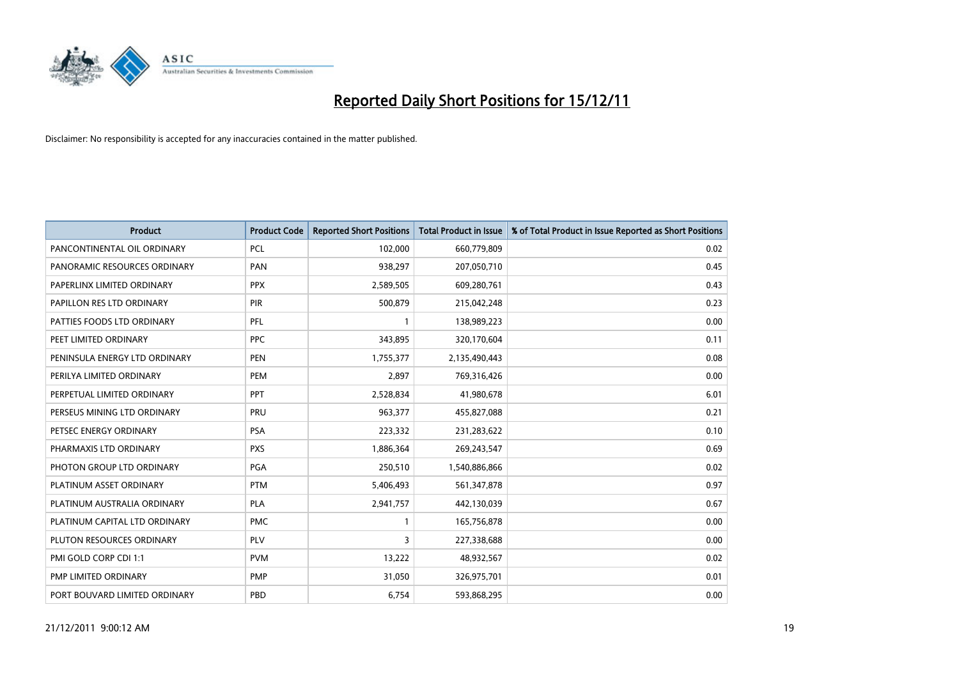

| <b>Product</b>                | <b>Product Code</b> | <b>Reported Short Positions</b> | <b>Total Product in Issue</b> | % of Total Product in Issue Reported as Short Positions |
|-------------------------------|---------------------|---------------------------------|-------------------------------|---------------------------------------------------------|
| PANCONTINENTAL OIL ORDINARY   | <b>PCL</b>          | 102,000                         | 660,779,809                   | 0.02                                                    |
| PANORAMIC RESOURCES ORDINARY  | PAN                 | 938,297                         | 207,050,710                   | 0.45                                                    |
| PAPERLINX LIMITED ORDINARY    | <b>PPX</b>          | 2,589,505                       | 609,280,761                   | 0.43                                                    |
| PAPILLON RES LTD ORDINARY     | PIR                 | 500,879                         | 215,042,248                   | 0.23                                                    |
| PATTIES FOODS LTD ORDINARY    | PFL                 |                                 | 138,989,223                   | 0.00                                                    |
| PEET LIMITED ORDINARY         | <b>PPC</b>          | 343,895                         | 320,170,604                   | 0.11                                                    |
| PENINSULA ENERGY LTD ORDINARY | <b>PEN</b>          | 1,755,377                       | 2,135,490,443                 | 0.08                                                    |
| PERILYA LIMITED ORDINARY      | PEM                 | 2,897                           | 769,316,426                   | 0.00                                                    |
| PERPETUAL LIMITED ORDINARY    | <b>PPT</b>          | 2,528,834                       | 41,980,678                    | 6.01                                                    |
| PERSEUS MINING LTD ORDINARY   | PRU                 | 963,377                         | 455,827,088                   | 0.21                                                    |
| PETSEC ENERGY ORDINARY        | <b>PSA</b>          | 223,332                         | 231,283,622                   | 0.10                                                    |
| PHARMAXIS LTD ORDINARY        | <b>PXS</b>          | 1,886,364                       | 269,243,547                   | 0.69                                                    |
| PHOTON GROUP LTD ORDINARY     | <b>PGA</b>          | 250,510                         | 1,540,886,866                 | 0.02                                                    |
| PLATINUM ASSET ORDINARY       | <b>PTM</b>          | 5,406,493                       | 561,347,878                   | 0.97                                                    |
| PLATINUM AUSTRALIA ORDINARY   | PLA                 | 2,941,757                       | 442,130,039                   | 0.67                                                    |
| PLATINUM CAPITAL LTD ORDINARY | <b>PMC</b>          |                                 | 165,756,878                   | 0.00                                                    |
| PLUTON RESOURCES ORDINARY     | <b>PLV</b>          | 3                               | 227,338,688                   | 0.00                                                    |
| PMI GOLD CORP CDI 1:1         | <b>PVM</b>          | 13,222                          | 48,932,567                    | 0.02                                                    |
| PMP LIMITED ORDINARY          | <b>PMP</b>          | 31,050                          | 326,975,701                   | 0.01                                                    |
| PORT BOUVARD LIMITED ORDINARY | PBD                 | 6,754                           | 593,868,295                   | 0.00                                                    |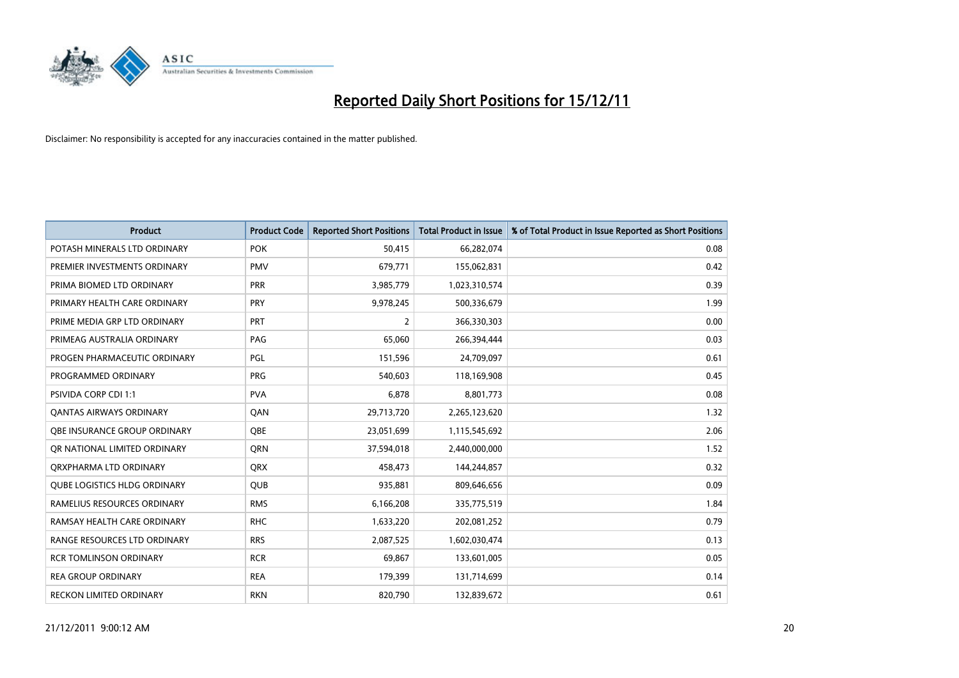

| <b>Product</b>                      | <b>Product Code</b> | <b>Reported Short Positions</b> | <b>Total Product in Issue</b> | % of Total Product in Issue Reported as Short Positions |
|-------------------------------------|---------------------|---------------------------------|-------------------------------|---------------------------------------------------------|
| POTASH MINERALS LTD ORDINARY        | <b>POK</b>          | 50.415                          | 66,282,074                    | 0.08                                                    |
| PREMIER INVESTMENTS ORDINARY        | <b>PMV</b>          | 679,771                         | 155,062,831                   | 0.42                                                    |
| PRIMA BIOMED LTD ORDINARY           | <b>PRR</b>          | 3,985,779                       | 1,023,310,574                 | 0.39                                                    |
| PRIMARY HEALTH CARE ORDINARY        | PRY                 | 9,978,245                       | 500,336,679                   | 1.99                                                    |
| PRIME MEDIA GRP LTD ORDINARY        | <b>PRT</b>          | $\overline{2}$                  | 366,330,303                   | 0.00                                                    |
| PRIMEAG AUSTRALIA ORDINARY          | PAG                 | 65,060                          | 266,394,444                   | 0.03                                                    |
| PROGEN PHARMACEUTIC ORDINARY        | PGL                 | 151,596                         | 24,709,097                    | 0.61                                                    |
| PROGRAMMED ORDINARY                 | <b>PRG</b>          | 540.603                         | 118,169,908                   | 0.45                                                    |
| <b>PSIVIDA CORP CDI 1:1</b>         | <b>PVA</b>          | 6,878                           | 8,801,773                     | 0.08                                                    |
| OANTAS AIRWAYS ORDINARY             | <b>OAN</b>          | 29,713,720                      | 2,265,123,620                 | 1.32                                                    |
| <b>OBE INSURANCE GROUP ORDINARY</b> | <b>OBE</b>          | 23,051,699                      | 1,115,545,692                 | 2.06                                                    |
| OR NATIONAL LIMITED ORDINARY        | <b>ORN</b>          | 37,594,018                      | 2,440,000,000                 | 1.52                                                    |
| ORXPHARMA LTD ORDINARY              | <b>ORX</b>          | 458,473                         | 144,244,857                   | 0.32                                                    |
| <b>QUBE LOGISTICS HLDG ORDINARY</b> | <b>QUB</b>          | 935,881                         | 809,646,656                   | 0.09                                                    |
| RAMELIUS RESOURCES ORDINARY         | <b>RMS</b>          | 6,166,208                       | 335,775,519                   | 1.84                                                    |
| RAMSAY HEALTH CARE ORDINARY         | <b>RHC</b>          | 1,633,220                       | 202,081,252                   | 0.79                                                    |
| RANGE RESOURCES LTD ORDINARY        | <b>RRS</b>          | 2,087,525                       | 1,602,030,474                 | 0.13                                                    |
| <b>RCR TOMLINSON ORDINARY</b>       | <b>RCR</b>          | 69,867                          | 133,601,005                   | 0.05                                                    |
| <b>REA GROUP ORDINARY</b>           | <b>REA</b>          | 179,399                         | 131,714,699                   | 0.14                                                    |
| RECKON LIMITED ORDINARY             | <b>RKN</b>          | 820,790                         | 132,839,672                   | 0.61                                                    |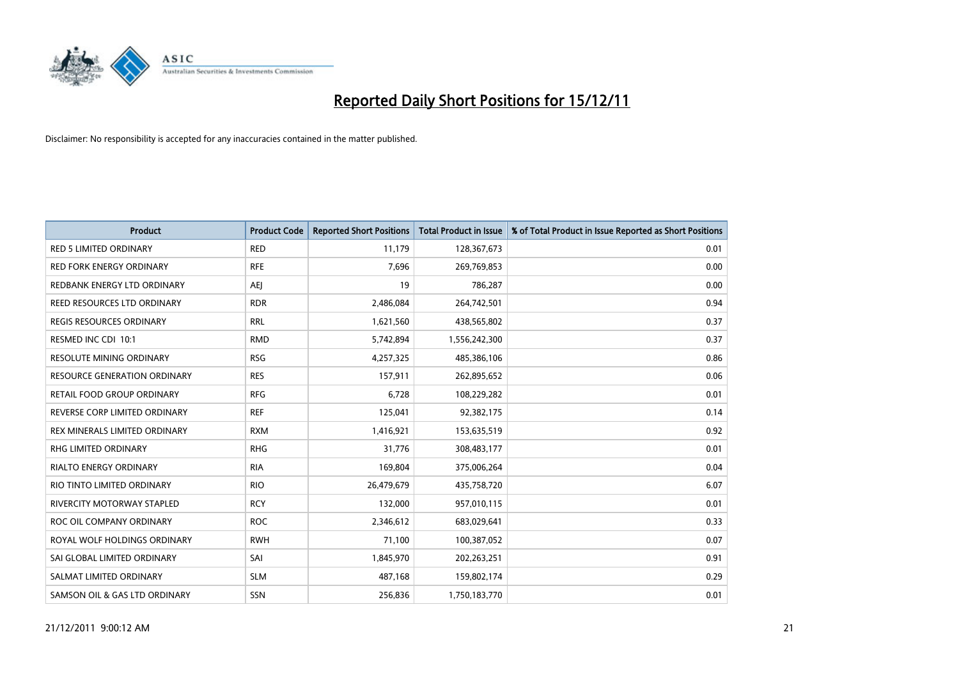

| <b>Product</b>                      | <b>Product Code</b> | <b>Reported Short Positions</b> | <b>Total Product in Issue</b> | % of Total Product in Issue Reported as Short Positions |
|-------------------------------------|---------------------|---------------------------------|-------------------------------|---------------------------------------------------------|
| <b>RED 5 LIMITED ORDINARY</b>       | <b>RED</b>          | 11,179                          | 128,367,673                   | 0.01                                                    |
| RED FORK ENERGY ORDINARY            | <b>RFE</b>          | 7,696                           | 269,769,853                   | 0.00                                                    |
| REDBANK ENERGY LTD ORDINARY         | AEJ                 | 19                              | 786,287                       | 0.00                                                    |
| REED RESOURCES LTD ORDINARY         | <b>RDR</b>          | 2,486,084                       | 264,742,501                   | 0.94                                                    |
| <b>REGIS RESOURCES ORDINARY</b>     | <b>RRL</b>          | 1,621,560                       | 438,565,802                   | 0.37                                                    |
| RESMED INC CDI 10:1                 | <b>RMD</b>          | 5,742,894                       | 1,556,242,300                 | 0.37                                                    |
| <b>RESOLUTE MINING ORDINARY</b>     | <b>RSG</b>          | 4,257,325                       | 485,386,106                   | 0.86                                                    |
| <b>RESOURCE GENERATION ORDINARY</b> | <b>RES</b>          | 157,911                         | 262,895,652                   | 0.06                                                    |
| RETAIL FOOD GROUP ORDINARY          | <b>RFG</b>          | 6,728                           | 108,229,282                   | 0.01                                                    |
| REVERSE CORP LIMITED ORDINARY       | <b>REF</b>          | 125,041                         | 92,382,175                    | 0.14                                                    |
| REX MINERALS LIMITED ORDINARY       | <b>RXM</b>          | 1,416,921                       | 153,635,519                   | 0.92                                                    |
| RHG LIMITED ORDINARY                | <b>RHG</b>          | 31,776                          | 308,483,177                   | 0.01                                                    |
| RIALTO ENERGY ORDINARY              | <b>RIA</b>          | 169,804                         | 375,006,264                   | 0.04                                                    |
| RIO TINTO LIMITED ORDINARY          | <b>RIO</b>          | 26,479,679                      | 435,758,720                   | 6.07                                                    |
| RIVERCITY MOTORWAY STAPLED          | <b>RCY</b>          | 132,000                         | 957,010,115                   | 0.01                                                    |
| ROC OIL COMPANY ORDINARY            | <b>ROC</b>          | 2,346,612                       | 683,029,641                   | 0.33                                                    |
| ROYAL WOLF HOLDINGS ORDINARY        | <b>RWH</b>          | 71,100                          | 100,387,052                   | 0.07                                                    |
| SAI GLOBAL LIMITED ORDINARY         | SAI                 | 1,845,970                       | 202,263,251                   | 0.91                                                    |
| SALMAT LIMITED ORDINARY             | <b>SLM</b>          | 487,168                         | 159,802,174                   | 0.29                                                    |
| SAMSON OIL & GAS LTD ORDINARY       | <b>SSN</b>          | 256.836                         | 1,750,183,770                 | 0.01                                                    |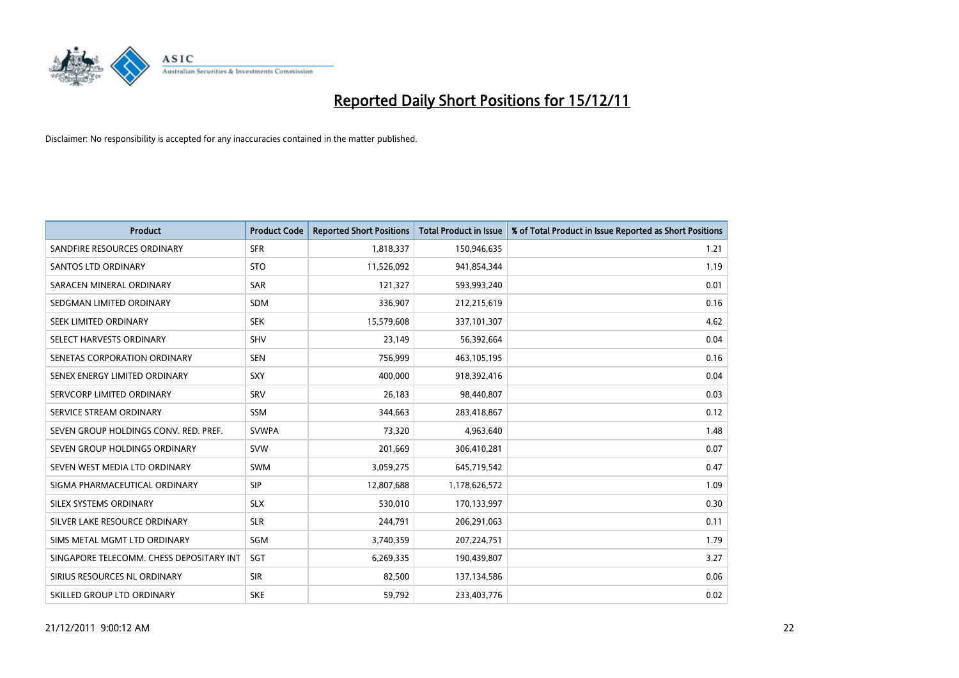

| <b>Product</b>                           | <b>Product Code</b> | <b>Reported Short Positions</b> | <b>Total Product in Issue</b> | % of Total Product in Issue Reported as Short Positions |
|------------------------------------------|---------------------|---------------------------------|-------------------------------|---------------------------------------------------------|
| SANDFIRE RESOURCES ORDINARY              | <b>SFR</b>          | 1,818,337                       | 150,946,635                   | 1.21                                                    |
| <b>SANTOS LTD ORDINARY</b>               | <b>STO</b>          | 11,526,092                      | 941,854,344                   | 1.19                                                    |
| SARACEN MINERAL ORDINARY                 | SAR                 | 121,327                         | 593,993,240                   | 0.01                                                    |
| SEDGMAN LIMITED ORDINARY                 | <b>SDM</b>          | 336,907                         | 212,215,619                   | 0.16                                                    |
| <b>SEEK LIMITED ORDINARY</b>             | <b>SEK</b>          | 15,579,608                      | 337,101,307                   | 4.62                                                    |
| SELECT HARVESTS ORDINARY                 | SHV                 | 23,149                          | 56,392,664                    | 0.04                                                    |
| SENETAS CORPORATION ORDINARY             | <b>SEN</b>          | 756,999                         | 463,105,195                   | 0.16                                                    |
| SENEX ENERGY LIMITED ORDINARY            | SXY                 | 400,000                         | 918,392,416                   | 0.04                                                    |
| SERVCORP LIMITED ORDINARY                | SRV                 | 26,183                          | 98,440,807                    | 0.03                                                    |
| SERVICE STREAM ORDINARY                  | <b>SSM</b>          | 344,663                         | 283,418,867                   | 0.12                                                    |
| SEVEN GROUP HOLDINGS CONV. RED. PREF.    | <b>SVWPA</b>        | 73,320                          | 4,963,640                     | 1.48                                                    |
| SEVEN GROUP HOLDINGS ORDINARY            | <b>SVW</b>          | 201,669                         | 306,410,281                   | 0.07                                                    |
| SEVEN WEST MEDIA LTD ORDINARY            | <b>SWM</b>          | 3,059,275                       | 645,719,542                   | 0.47                                                    |
| SIGMA PHARMACEUTICAL ORDINARY            | <b>SIP</b>          | 12,807,688                      | 1,178,626,572                 | 1.09                                                    |
| SILEX SYSTEMS ORDINARY                   | <b>SLX</b>          | 530,010                         | 170,133,997                   | 0.30                                                    |
| SILVER LAKE RESOURCE ORDINARY            | <b>SLR</b>          | 244,791                         | 206,291,063                   | 0.11                                                    |
| SIMS METAL MGMT LTD ORDINARY             | SGM                 | 3,740,359                       | 207,224,751                   | 1.79                                                    |
| SINGAPORE TELECOMM. CHESS DEPOSITARY INT | SGT                 | 6,269,335                       | 190,439,807                   | 3.27                                                    |
| SIRIUS RESOURCES NL ORDINARY             | <b>SIR</b>          | 82,500                          | 137,134,586                   | 0.06                                                    |
| SKILLED GROUP LTD ORDINARY               | <b>SKE</b>          | 59,792                          | 233,403,776                   | 0.02                                                    |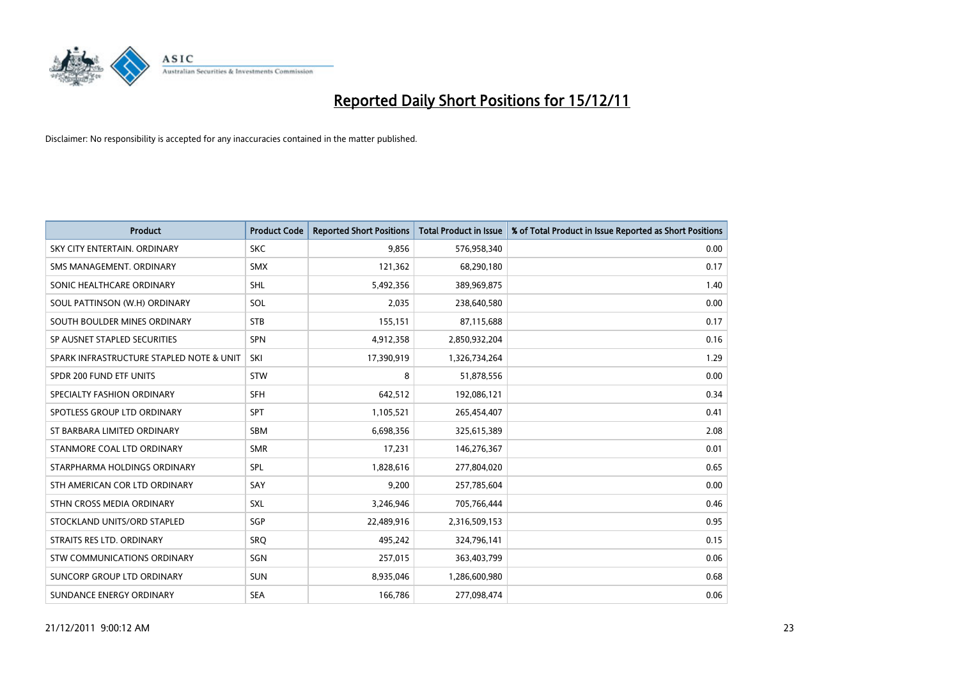

| <b>Product</b>                           | <b>Product Code</b> | <b>Reported Short Positions</b> | <b>Total Product in Issue</b> | % of Total Product in Issue Reported as Short Positions |
|------------------------------------------|---------------------|---------------------------------|-------------------------------|---------------------------------------------------------|
| SKY CITY ENTERTAIN, ORDINARY             | <b>SKC</b>          | 9,856                           | 576,958,340                   | 0.00                                                    |
| SMS MANAGEMENT, ORDINARY                 | <b>SMX</b>          | 121,362                         | 68,290,180                    | 0.17                                                    |
| SONIC HEALTHCARE ORDINARY                | <b>SHL</b>          | 5,492,356                       | 389,969,875                   | 1.40                                                    |
| SOUL PATTINSON (W.H) ORDINARY            | SOL                 | 2,035                           | 238,640,580                   | 0.00                                                    |
| SOUTH BOULDER MINES ORDINARY             | <b>STB</b>          | 155,151                         | 87,115,688                    | 0.17                                                    |
| SP AUSNET STAPLED SECURITIES             | <b>SPN</b>          | 4,912,358                       | 2,850,932,204                 | 0.16                                                    |
| SPARK INFRASTRUCTURE STAPLED NOTE & UNIT | SKI                 | 17,390,919                      | 1,326,734,264                 | 1.29                                                    |
| SPDR 200 FUND ETF UNITS                  | <b>STW</b>          | 8                               | 51,878,556                    | 0.00                                                    |
| SPECIALTY FASHION ORDINARY               | <b>SFH</b>          | 642,512                         | 192,086,121                   | 0.34                                                    |
| SPOTLESS GROUP LTD ORDINARY              | <b>SPT</b>          | 1,105,521                       | 265,454,407                   | 0.41                                                    |
| ST BARBARA LIMITED ORDINARY              | <b>SBM</b>          | 6,698,356                       | 325,615,389                   | 2.08                                                    |
| STANMORE COAL LTD ORDINARY               | <b>SMR</b>          | 17,231                          | 146,276,367                   | 0.01                                                    |
| STARPHARMA HOLDINGS ORDINARY             | <b>SPL</b>          | 1,828,616                       | 277,804,020                   | 0.65                                                    |
| STH AMERICAN COR LTD ORDINARY            | SAY                 | 9,200                           | 257,785,604                   | 0.00                                                    |
| STHN CROSS MEDIA ORDINARY                | <b>SXL</b>          | 3,246,946                       | 705,766,444                   | 0.46                                                    |
| STOCKLAND UNITS/ORD STAPLED              | <b>SGP</b>          | 22,489,916                      | 2,316,509,153                 | 0.95                                                    |
| STRAITS RES LTD. ORDINARY                | SRO                 | 495,242                         | 324,796,141                   | 0.15                                                    |
| STW COMMUNICATIONS ORDINARY              | SGN                 | 257,015                         | 363,403,799                   | 0.06                                                    |
| SUNCORP GROUP LTD ORDINARY               | <b>SUN</b>          | 8,935,046                       | 1,286,600,980                 | 0.68                                                    |
| SUNDANCE ENERGY ORDINARY                 | <b>SEA</b>          | 166,786                         | 277,098,474                   | 0.06                                                    |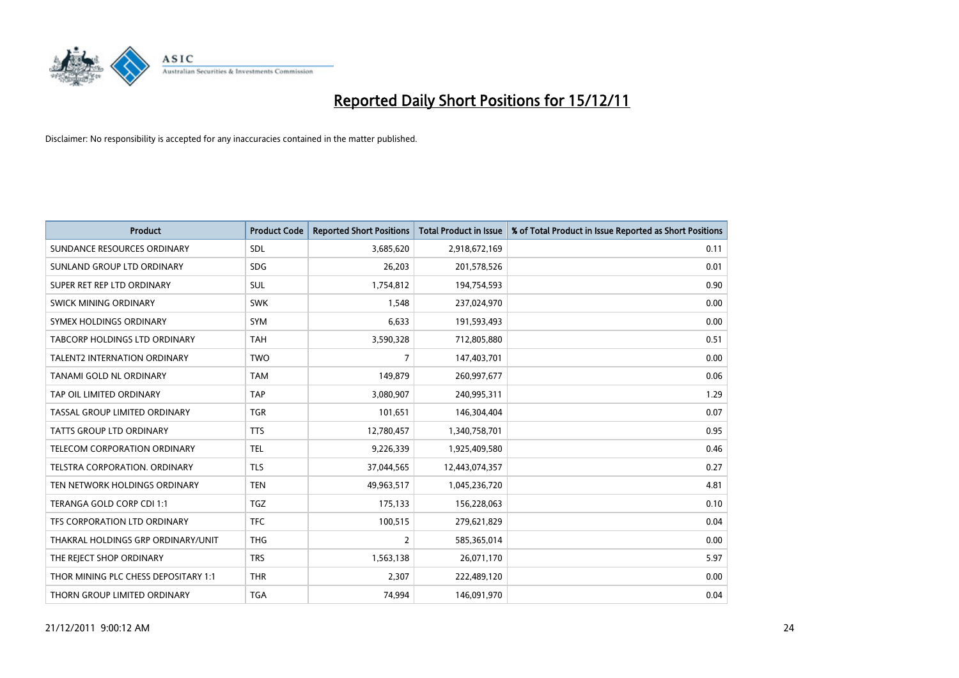

| <b>Product</b>                       | <b>Product Code</b> | <b>Reported Short Positions</b> | <b>Total Product in Issue</b> | % of Total Product in Issue Reported as Short Positions |
|--------------------------------------|---------------------|---------------------------------|-------------------------------|---------------------------------------------------------|
| SUNDANCE RESOURCES ORDINARY          | <b>SDL</b>          | 3,685,620                       | 2,918,672,169                 | 0.11                                                    |
| SUNLAND GROUP LTD ORDINARY           | <b>SDG</b>          | 26,203                          | 201,578,526                   | 0.01                                                    |
| SUPER RET REP LTD ORDINARY           | <b>SUL</b>          | 1,754,812                       | 194,754,593                   | 0.90                                                    |
| SWICK MINING ORDINARY                | <b>SWK</b>          | 1,548                           | 237,024,970                   | 0.00                                                    |
| SYMEX HOLDINGS ORDINARY              | <b>SYM</b>          | 6.633                           | 191,593,493                   | 0.00                                                    |
| TABCORP HOLDINGS LTD ORDINARY        | <b>TAH</b>          | 3,590,328                       | 712,805,880                   | 0.51                                                    |
| <b>TALENT2 INTERNATION ORDINARY</b>  | <b>TWO</b>          | 7                               | 147,403,701                   | 0.00                                                    |
| TANAMI GOLD NL ORDINARY              | <b>TAM</b>          | 149,879                         | 260,997,677                   | 0.06                                                    |
| TAP OIL LIMITED ORDINARY             | <b>TAP</b>          | 3,080,907                       | 240,995,311                   | 1.29                                                    |
| TASSAL GROUP LIMITED ORDINARY        | <b>TGR</b>          | 101,651                         | 146,304,404                   | 0.07                                                    |
| <b>TATTS GROUP LTD ORDINARY</b>      | <b>TTS</b>          | 12,780,457                      | 1,340,758,701                 | 0.95                                                    |
| <b>TELECOM CORPORATION ORDINARY</b>  | <b>TEL</b>          | 9,226,339                       | 1,925,409,580                 | 0.46                                                    |
| <b>TELSTRA CORPORATION, ORDINARY</b> | <b>TLS</b>          | 37,044,565                      | 12,443,074,357                | 0.27                                                    |
| TEN NETWORK HOLDINGS ORDINARY        | <b>TEN</b>          | 49,963,517                      | 1,045,236,720                 | 4.81                                                    |
| TERANGA GOLD CORP CDI 1:1            | <b>TGZ</b>          | 175,133                         | 156,228,063                   | 0.10                                                    |
| TFS CORPORATION LTD ORDINARY         | <b>TFC</b>          | 100,515                         | 279,621,829                   | 0.04                                                    |
| THAKRAL HOLDINGS GRP ORDINARY/UNIT   | <b>THG</b>          | $\overline{2}$                  | 585,365,014                   | 0.00                                                    |
| THE REJECT SHOP ORDINARY             | <b>TRS</b>          | 1,563,138                       | 26,071,170                    | 5.97                                                    |
| THOR MINING PLC CHESS DEPOSITARY 1:1 | <b>THR</b>          | 2,307                           | 222,489,120                   | 0.00                                                    |
| THORN GROUP LIMITED ORDINARY         | <b>TGA</b>          | 74.994                          | 146,091,970                   | 0.04                                                    |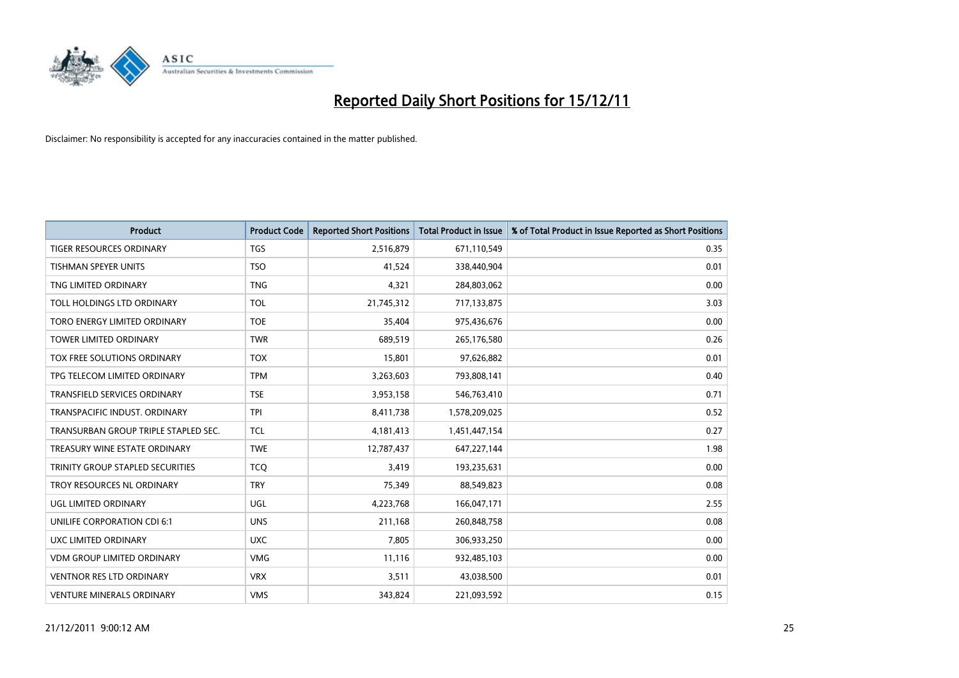

| <b>Product</b>                       | <b>Product Code</b> | <b>Reported Short Positions</b> | <b>Total Product in Issue</b> | % of Total Product in Issue Reported as Short Positions |
|--------------------------------------|---------------------|---------------------------------|-------------------------------|---------------------------------------------------------|
| <b>TIGER RESOURCES ORDINARY</b>      | <b>TGS</b>          | 2,516,879                       | 671,110,549                   | 0.35                                                    |
| TISHMAN SPEYER UNITS                 | <b>TSO</b>          | 41,524                          | 338,440,904                   | 0.01                                                    |
| TNG LIMITED ORDINARY                 | <b>TNG</b>          | 4.321                           | 284,803,062                   | 0.00                                                    |
| TOLL HOLDINGS LTD ORDINARY           | <b>TOL</b>          | 21,745,312                      | 717,133,875                   | 3.03                                                    |
| TORO ENERGY LIMITED ORDINARY         | <b>TOE</b>          | 35,404                          | 975,436,676                   | 0.00                                                    |
| <b>TOWER LIMITED ORDINARY</b>        | <b>TWR</b>          | 689,519                         | 265,176,580                   | 0.26                                                    |
| TOX FREE SOLUTIONS ORDINARY          | <b>TOX</b>          | 15,801                          | 97,626,882                    | 0.01                                                    |
| TPG TELECOM LIMITED ORDINARY         | <b>TPM</b>          | 3,263,603                       | 793,808,141                   | 0.40                                                    |
| <b>TRANSFIELD SERVICES ORDINARY</b>  | <b>TSE</b>          | 3,953,158                       | 546,763,410                   | 0.71                                                    |
| TRANSPACIFIC INDUST, ORDINARY        | <b>TPI</b>          | 8,411,738                       | 1,578,209,025                 | 0.52                                                    |
| TRANSURBAN GROUP TRIPLE STAPLED SEC. | <b>TCL</b>          | 4,181,413                       | 1,451,447,154                 | 0.27                                                    |
| TREASURY WINE ESTATE ORDINARY        | <b>TWE</b>          | 12,787,437                      | 647,227,144                   | 1.98                                                    |
| TRINITY GROUP STAPLED SECURITIES     | <b>TCO</b>          | 3,419                           | 193,235,631                   | 0.00                                                    |
| TROY RESOURCES NL ORDINARY           | <b>TRY</b>          | 75,349                          | 88,549,823                    | 0.08                                                    |
| <b>UGL LIMITED ORDINARY</b>          | UGL                 | 4,223,768                       | 166,047,171                   | 2.55                                                    |
| UNILIFE CORPORATION CDI 6:1          | <b>UNS</b>          | 211,168                         | 260,848,758                   | 0.08                                                    |
| UXC LIMITED ORDINARY                 | <b>UXC</b>          | 7,805                           | 306,933,250                   | 0.00                                                    |
| <b>VDM GROUP LIMITED ORDINARY</b>    | <b>VMG</b>          | 11,116                          | 932,485,103                   | 0.00                                                    |
| <b>VENTNOR RES LTD ORDINARY</b>      | <b>VRX</b>          | 3,511                           | 43,038,500                    | 0.01                                                    |
| <b>VENTURE MINERALS ORDINARY</b>     | <b>VMS</b>          | 343,824                         | 221,093,592                   | 0.15                                                    |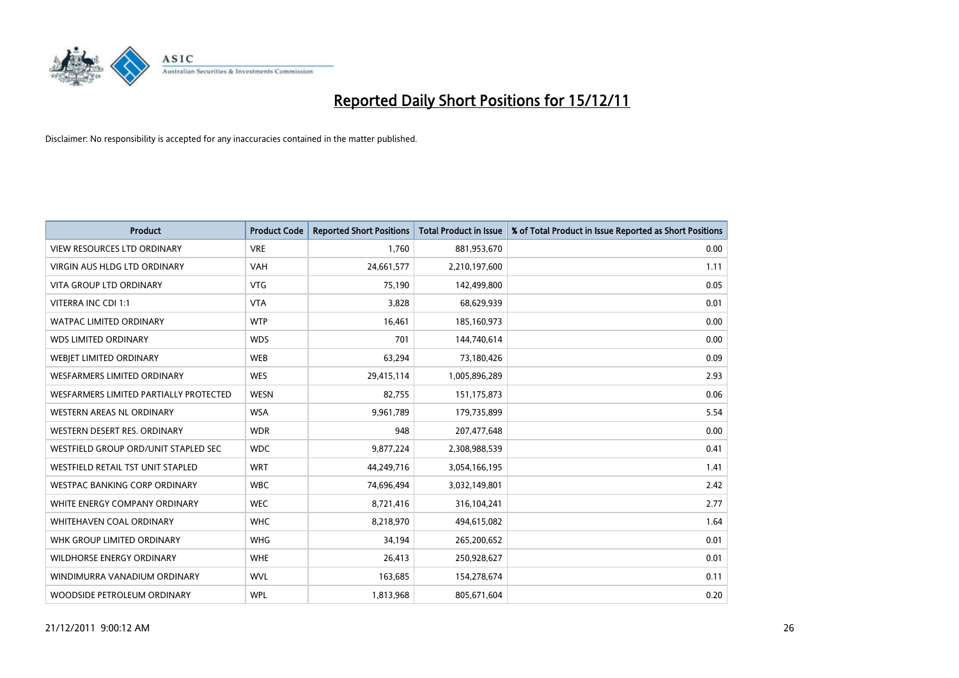

| <b>Product</b>                         | <b>Product Code</b> | <b>Reported Short Positions</b> | <b>Total Product in Issue</b> | % of Total Product in Issue Reported as Short Positions |
|----------------------------------------|---------------------|---------------------------------|-------------------------------|---------------------------------------------------------|
| <b>VIEW RESOURCES LTD ORDINARY</b>     | <b>VRE</b>          | 1,760                           | 881,953,670                   | 0.00                                                    |
| VIRGIN AUS HLDG LTD ORDINARY           | <b>VAH</b>          | 24,661,577                      | 2,210,197,600                 | 1.11                                                    |
| <b>VITA GROUP LTD ORDINARY</b>         | <b>VTG</b>          | 75,190                          | 142,499,800                   | 0.05                                                    |
| VITERRA INC CDI 1:1                    | <b>VTA</b>          | 3,828                           | 68,629,939                    | 0.01                                                    |
| <b>WATPAC LIMITED ORDINARY</b>         | <b>WTP</b>          | 16,461                          | 185,160,973                   | 0.00                                                    |
| <b>WDS LIMITED ORDINARY</b>            | <b>WDS</b>          | 701                             | 144,740,614                   | 0.00                                                    |
| WEBIET LIMITED ORDINARY                | <b>WEB</b>          | 63,294                          | 73,180,426                    | 0.09                                                    |
| WESFARMERS LIMITED ORDINARY            | <b>WES</b>          | 29,415,114                      | 1,005,896,289                 | 2.93                                                    |
| WESFARMERS LIMITED PARTIALLY PROTECTED | <b>WESN</b>         | 82,755                          | 151,175,873                   | 0.06                                                    |
| <b>WESTERN AREAS NL ORDINARY</b>       | <b>WSA</b>          | 9,961,789                       | 179,735,899                   | 5.54                                                    |
| WESTERN DESERT RES. ORDINARY           | <b>WDR</b>          | 948                             | 207,477,648                   | 0.00                                                    |
| WESTFIELD GROUP ORD/UNIT STAPLED SEC   | <b>WDC</b>          | 9,877,224                       | 2,308,988,539                 | 0.41                                                    |
| WESTFIELD RETAIL TST UNIT STAPLED      | <b>WRT</b>          | 44,249,716                      | 3,054,166,195                 | 1.41                                                    |
| <b>WESTPAC BANKING CORP ORDINARY</b>   | <b>WBC</b>          | 74,696,494                      | 3,032,149,801                 | 2.42                                                    |
| WHITE ENERGY COMPANY ORDINARY          | <b>WEC</b>          | 8,721,416                       | 316,104,241                   | 2.77                                                    |
| WHITEHAVEN COAL ORDINARY               | <b>WHC</b>          | 8,218,970                       | 494,615,082                   | 1.64                                                    |
| WHK GROUP LIMITED ORDINARY             | <b>WHG</b>          | 34,194                          | 265,200,652                   | 0.01                                                    |
| <b>WILDHORSE ENERGY ORDINARY</b>       | <b>WHE</b>          | 26,413                          | 250,928,627                   | 0.01                                                    |
| WINDIMURRA VANADIUM ORDINARY           | <b>WVL</b>          | 163,685                         | 154,278,674                   | 0.11                                                    |
| WOODSIDE PETROLEUM ORDINARY            | <b>WPL</b>          | 1,813,968                       | 805,671,604                   | 0.20                                                    |